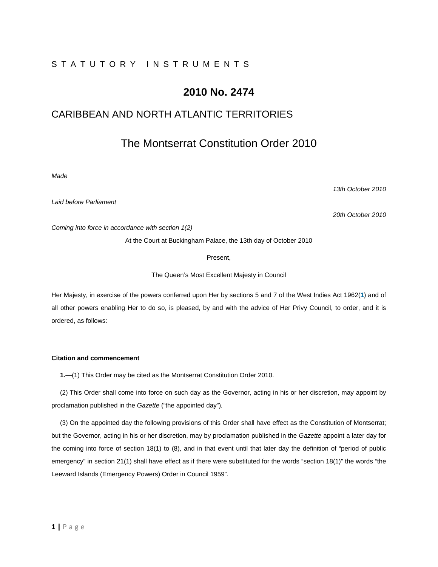## STATUTORY INSTRUMENTS

# **2010 No. 2474**

# CARIBBEAN AND NORTH ATLANTIC TERRITORIES

# The Montserrat Constitution Order 2010

*Made* 

*Laid before Parliament* 

*13th October 2010* 

*20th October 2010* 

*Coming into force in accordance with section 1(2)* 

At the Court at Buckingham Palace, the 13th day of October 2010

Present,

The Queen's Most Excellent Majesty in Council

Her Majesty, in exercise of the powers conferred upon Her by sections 5 and 7 of the West Indies Act 1962(**1**) and of all other powers enabling Her to do so, is pleased, by and with the advice of Her Privy Council, to order, and it is ordered, as follows:

## **Citation and commencement**

**1.**—(1) This Order may be cited as the Montserrat Constitution Order 2010.

(2) This Order shall come into force on such day as the Governor, acting in his or her discretion, may appoint by proclamation published in the *Gazette* ("the appointed day")*.*

(3) On the appointed day the following provisions of this Order shall have effect as the Constitution of Montserrat; but the Governor, acting in his or her discretion, may by proclamation published in the *Gazette* appoint a later day for the coming into force of section 18(1) to (8), and in that event until that later day the definition of "period of public emergency" in section 21(1) shall have effect as if there were substituted for the words "section 18(1)" the words "the Leeward Islands (Emergency Powers) Order in Council 1959".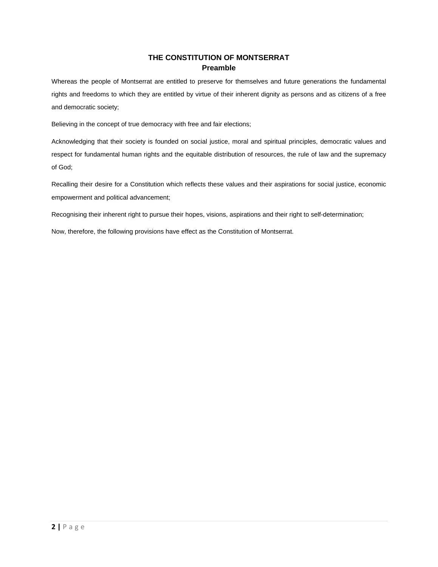## **THE CONSTITUTION OF MONTSERRAT Preamble**

Whereas the people of Montserrat are entitled to preserve for themselves and future generations the fundamental rights and freedoms to which they are entitled by virtue of their inherent dignity as persons and as citizens of a free and democratic society;

Believing in the concept of true democracy with free and fair elections;

Acknowledging that their society is founded on social justice, moral and spiritual principles, democratic values and respect for fundamental human rights and the equitable distribution of resources, the rule of law and the supremacy of God;

Recalling their desire for a Constitution which reflects these values and their aspirations for social justice, economic empowerment and political advancement;

Recognising their inherent right to pursue their hopes, visions, aspirations and their right to self-determination;

Now, therefore, the following provisions have effect as the Constitution of Montserrat.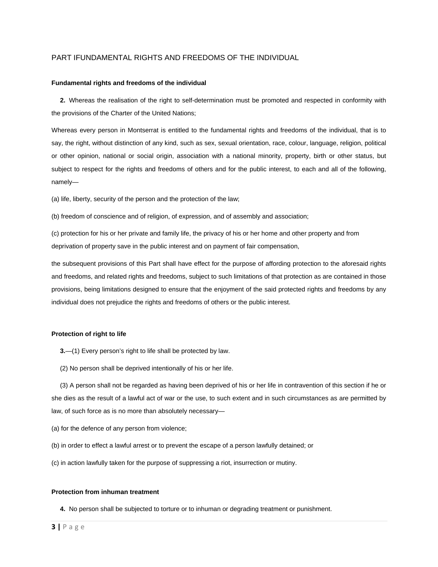## PART IFUNDAMENTAL RIGHTS AND FREEDOMS OF THE INDIVIDUAL

#### **Fundamental rights and freedoms of the individual**

**2.** Whereas the realisation of the right to self-determination must be promoted and respected in conformity with the provisions of the Charter of the United Nations;

Whereas every person in Montserrat is entitled to the fundamental rights and freedoms of the individual, that is to say, the right, without distinction of any kind, such as sex, sexual orientation, race, colour, language, religion, political or other opinion, national or social origin, association with a national minority, property, birth or other status, but subject to respect for the rights and freedoms of others and for the public interest, to each and all of the following, namely—

(a) life, liberty, security of the person and the protection of the law;

(b) freedom of conscience and of religion, of expression, and of assembly and association;

(c) protection for his or her private and family life, the privacy of his or her home and other property and from deprivation of property save in the public interest and on payment of fair compensation,

the subsequent provisions of this Part shall have effect for the purpose of affording protection to the aforesaid rights and freedoms, and related rights and freedoms, subject to such limitations of that protection as are contained in those provisions, being limitations designed to ensure that the enjoyment of the said protected rights and freedoms by any individual does not prejudice the rights and freedoms of others or the public interest.

#### **Protection of right to life**

- **3.**—(1) Every person's right to life shall be protected by law.
- (2) No person shall be deprived intentionally of his or her life.

(3) A person shall not be regarded as having been deprived of his or her life in contravention of this section if he or she dies as the result of a lawful act of war or the use, to such extent and in such circumstances as are permitted by law, of such force as is no more than absolutely necessary—

- (a) for the defence of any person from violence;
- (b) in order to effect a lawful arrest or to prevent the escape of a person lawfully detained; or
- (c) in action lawfully taken for the purpose of suppressing a riot, insurrection or mutiny.

#### **Protection from inhuman treatment**

**4.** No person shall be subjected to torture or to inhuman or degrading treatment or punishment.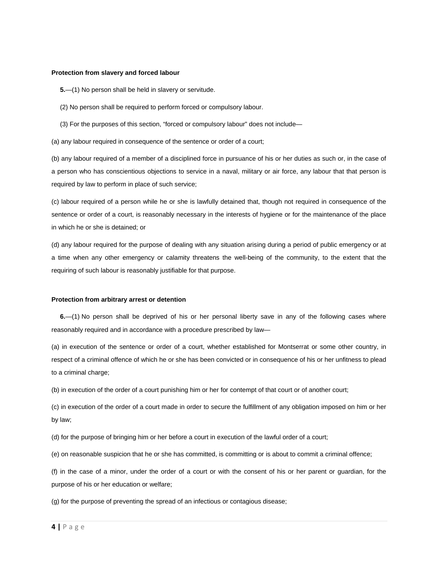#### **Protection from slavery and forced labour**

**5.**—(1) No person shall be held in slavery or servitude.

(2) No person shall be required to perform forced or compulsory labour.

(3) For the purposes of this section, "forced or compulsory labour" does not include—

(a) any labour required in consequence of the sentence or order of a court;

(b) any labour required of a member of a disciplined force in pursuance of his or her duties as such or, in the case of a person who has conscientious objections to service in a naval, military or air force, any labour that that person is required by law to perform in place of such service;

(c) labour required of a person while he or she is lawfully detained that, though not required in consequence of the sentence or order of a court, is reasonably necessary in the interests of hygiene or for the maintenance of the place in which he or she is detained; or

(d) any labour required for the purpose of dealing with any situation arising during a period of public emergency or at a time when any other emergency or calamity threatens the well-being of the community, to the extent that the requiring of such labour is reasonably justifiable for that purpose.

#### **Protection from arbitrary arrest or detention**

**6.**—(1) No person shall be deprived of his or her personal liberty save in any of the following cases where reasonably required and in accordance with a procedure prescribed by law—

(a) in execution of the sentence or order of a court, whether established for Montserrat or some other country, in respect of a criminal offence of which he or she has been convicted or in consequence of his or her unfitness to plead to a criminal charge;

(b) in execution of the order of a court punishing him or her for contempt of that court or of another court;

(c) in execution of the order of a court made in order to secure the fulfillment of any obligation imposed on him or her by law;

(d) for the purpose of bringing him or her before a court in execution of the lawful order of a court;

(e) on reasonable suspicion that he or she has committed, is committing or is about to commit a criminal offence;

(f) in the case of a minor, under the order of a court or with the consent of his or her parent or guardian, for the purpose of his or her education or welfare;

(g) for the purpose of preventing the spread of an infectious or contagious disease;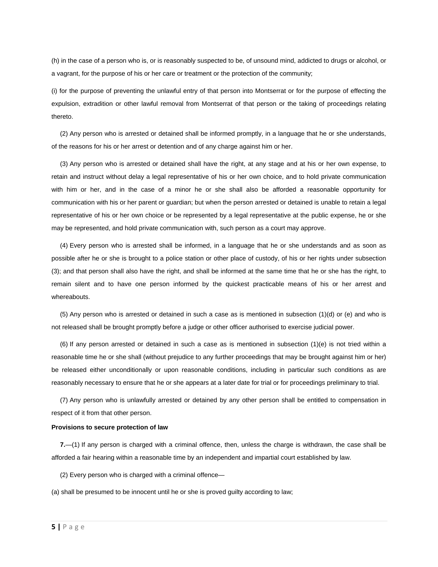(h) in the case of a person who is, or is reasonably suspected to be, of unsound mind, addicted to drugs or alcohol, or a vagrant, for the purpose of his or her care or treatment or the protection of the community;

(i) for the purpose of preventing the unlawful entry of that person into Montserrat or for the purpose of effecting the expulsion, extradition or other lawful removal from Montserrat of that person or the taking of proceedings relating thereto.

(2) Any person who is arrested or detained shall be informed promptly, in a language that he or she understands, of the reasons for his or her arrest or detention and of any charge against him or her.

(3) Any person who is arrested or detained shall have the right, at any stage and at his or her own expense, to retain and instruct without delay a legal representative of his or her own choice, and to hold private communication with him or her, and in the case of a minor he or she shall also be afforded a reasonable opportunity for communication with his or her parent or guardian; but when the person arrested or detained is unable to retain a legal representative of his or her own choice or be represented by a legal representative at the public expense, he or she may be represented, and hold private communication with, such person as a court may approve.

(4) Every person who is arrested shall be informed, in a language that he or she understands and as soon as possible after he or she is brought to a police station or other place of custody, of his or her rights under subsection (3); and that person shall also have the right, and shall be informed at the same time that he or she has the right, to remain silent and to have one person informed by the quickest practicable means of his or her arrest and whereabouts.

(5) Any person who is arrested or detained in such a case as is mentioned in subsection (1)(d) or (e) and who is not released shall be brought promptly before a judge or other officer authorised to exercise judicial power.

(6) If any person arrested or detained in such a case as is mentioned in subsection (1)(e) is not tried within a reasonable time he or she shall (without prejudice to any further proceedings that may be brought against him or her) be released either unconditionally or upon reasonable conditions, including in particular such conditions as are reasonably necessary to ensure that he or she appears at a later date for trial or for proceedings preliminary to trial.

(7) Any person who is unlawfully arrested or detained by any other person shall be entitled to compensation in respect of it from that other person.

#### **Provisions to secure protection of law**

**7.**—(1) If any person is charged with a criminal offence, then, unless the charge is withdrawn, the case shall be afforded a fair hearing within a reasonable time by an independent and impartial court established by law.

(2) Every person who is charged with a criminal offence—

(a) shall be presumed to be innocent until he or she is proved guilty according to law;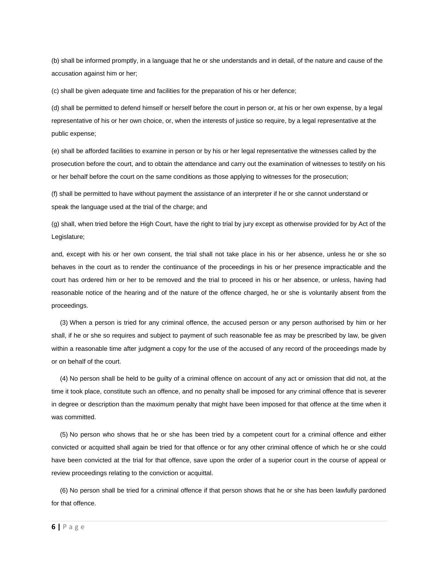(b) shall be informed promptly, in a language that he or she understands and in detail, of the nature and cause of the accusation against him or her;

(c) shall be given adequate time and facilities for the preparation of his or her defence;

(d) shall be permitted to defend himself or herself before the court in person or, at his or her own expense, by a legal representative of his or her own choice, or, when the interests of justice so require, by a legal representative at the public expense;

(e) shall be afforded facilities to examine in person or by his or her legal representative the witnesses called by the prosecution before the court, and to obtain the attendance and carry out the examination of witnesses to testify on his or her behalf before the court on the same conditions as those applying to witnesses for the prosecution;

(f) shall be permitted to have without payment the assistance of an interpreter if he or she cannot understand or speak the language used at the trial of the charge; and

(g) shall, when tried before the High Court, have the right to trial by jury except as otherwise provided for by Act of the Legislature;

and, except with his or her own consent, the trial shall not take place in his or her absence, unless he or she so behaves in the court as to render the continuance of the proceedings in his or her presence impracticable and the court has ordered him or her to be removed and the trial to proceed in his or her absence, or unless, having had reasonable notice of the hearing and of the nature of the offence charged, he or she is voluntarily absent from the proceedings.

(3) When a person is tried for any criminal offence, the accused person or any person authorised by him or her shall, if he or she so requires and subject to payment of such reasonable fee as may be prescribed by law, be given within a reasonable time after judgment a copy for the use of the accused of any record of the proceedings made by or on behalf of the court.

(4) No person shall be held to be guilty of a criminal offence on account of any act or omission that did not, at the time it took place, constitute such an offence, and no penalty shall be imposed for any criminal offence that is severer in degree or description than the maximum penalty that might have been imposed for that offence at the time when it was committed.

(5) No person who shows that he or she has been tried by a competent court for a criminal offence and either convicted or acquitted shall again be tried for that offence or for any other criminal offence of which he or she could have been convicted at the trial for that offence, save upon the order of a superior court in the course of appeal or review proceedings relating to the conviction or acquittal.

(6) No person shall be tried for a criminal offence if that person shows that he or she has been lawfully pardoned for that offence.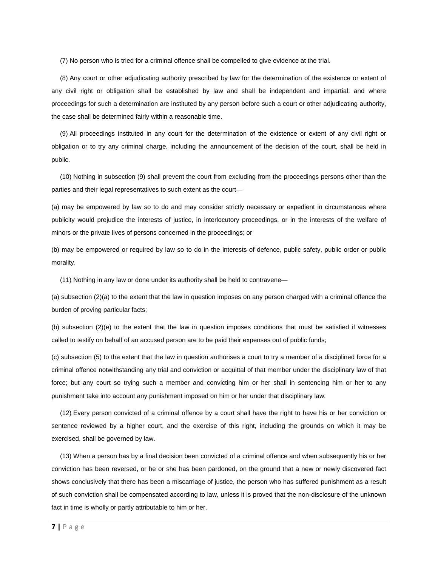(7) No person who is tried for a criminal offence shall be compelled to give evidence at the trial.

(8) Any court or other adjudicating authority prescribed by law for the determination of the existence or extent of any civil right or obligation shall be established by law and shall be independent and impartial; and where proceedings for such a determination are instituted by any person before such a court or other adjudicating authority, the case shall be determined fairly within a reasonable time.

(9) All proceedings instituted in any court for the determination of the existence or extent of any civil right or obligation or to try any criminal charge, including the announcement of the decision of the court, shall be held in public.

(10) Nothing in subsection (9) shall prevent the court from excluding from the proceedings persons other than the parties and their legal representatives to such extent as the court—

(a) may be empowered by law so to do and may consider strictly necessary or expedient in circumstances where publicity would prejudice the interests of justice, in interlocutory proceedings, or in the interests of the welfare of minors or the private lives of persons concerned in the proceedings; or

(b) may be empowered or required by law so to do in the interests of defence, public safety, public order or public morality.

(11) Nothing in any law or done under its authority shall be held to contravene—

(a) subsection (2)(a) to the extent that the law in question imposes on any person charged with a criminal offence the burden of proving particular facts;

(b) subsection (2)(e) to the extent that the law in question imposes conditions that must be satisfied if witnesses called to testify on behalf of an accused person are to be paid their expenses out of public funds;

(c) subsection (5) to the extent that the law in question authorises a court to try a member of a disciplined force for a criminal offence notwithstanding any trial and conviction or acquittal of that member under the disciplinary law of that force; but any court so trying such a member and convicting him or her shall in sentencing him or her to any punishment take into account any punishment imposed on him or her under that disciplinary law.

(12) Every person convicted of a criminal offence by a court shall have the right to have his or her conviction or sentence reviewed by a higher court, and the exercise of this right, including the grounds on which it may be exercised, shall be governed by law.

(13) When a person has by a final decision been convicted of a criminal offence and when subsequently his or her conviction has been reversed, or he or she has been pardoned, on the ground that a new or newly discovered fact shows conclusively that there has been a miscarriage of justice, the person who has suffered punishment as a result of such conviction shall be compensated according to law, unless it is proved that the non-disclosure of the unknown fact in time is wholly or partly attributable to him or her.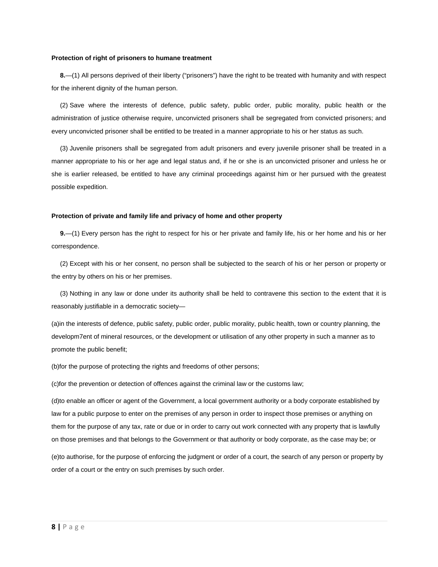#### **Protection of right of prisoners to humane treatment**

**8.**—(1) All persons deprived of their liberty ("prisoners") have the right to be treated with humanity and with respect for the inherent dignity of the human person.

(2) Save where the interests of defence, public safety, public order, public morality, public health or the administration of justice otherwise require, unconvicted prisoners shall be segregated from convicted prisoners; and every unconvicted prisoner shall be entitled to be treated in a manner appropriate to his or her status as such.

(3) Juvenile prisoners shall be segregated from adult prisoners and every juvenile prisoner shall be treated in a manner appropriate to his or her age and legal status and, if he or she is an unconvicted prisoner and unless he or she is earlier released, be entitled to have any criminal proceedings against him or her pursued with the greatest possible expedition.

#### **Protection of private and family life and privacy of home and other property**

**9.**—(1) Every person has the right to respect for his or her private and family life, his or her home and his or her correspondence.

(2) Except with his or her consent, no person shall be subjected to the search of his or her person or property or the entry by others on his or her premises.

(3) Nothing in any law or done under its authority shall be held to contravene this section to the extent that it is reasonably justifiable in a democratic society—

(a)in the interests of defence, public safety, public order, public morality, public health, town or country planning, the developm7ent of mineral resources, or the development or utilisation of any other property in such a manner as to promote the public benefit;

(b)for the purpose of protecting the rights and freedoms of other persons;

(c)for the prevention or detection of offences against the criminal law or the customs law;

(d)to enable an officer or agent of the Government, a local government authority or a body corporate established by law for a public purpose to enter on the premises of any person in order to inspect those premises or anything on them for the purpose of any tax, rate or due or in order to carry out work connected with any property that is lawfully on those premises and that belongs to the Government or that authority or body corporate, as the case may be; or

(e)to authorise, for the purpose of enforcing the judgment or order of a court, the search of any person or property by order of a court or the entry on such premises by such order.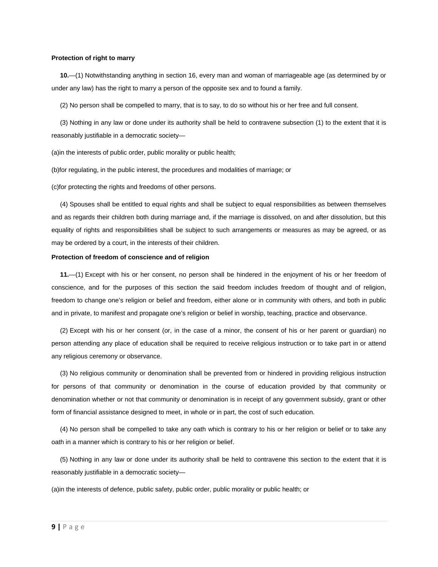#### **Protection of right to marry**

**10.**—(1) Notwithstanding anything in section 16, every man and woman of marriageable age (as determined by or under any law) has the right to marry a person of the opposite sex and to found a family.

(2) No person shall be compelled to marry, that is to say, to do so without his or her free and full consent.

(3) Nothing in any law or done under its authority shall be held to contravene subsection (1) to the extent that it is reasonably justifiable in a democratic society—

(a)in the interests of public order, public morality or public health;

(b)for regulating, in the public interest, the procedures and modalities of marriage; or

(c)for protecting the rights and freedoms of other persons.

(4) Spouses shall be entitled to equal rights and shall be subject to equal responsibilities as between themselves and as regards their children both during marriage and, if the marriage is dissolved, on and after dissolution, but this equality of rights and responsibilities shall be subject to such arrangements or measures as may be agreed, or as may be ordered by a court, in the interests of their children.

### **Protection of freedom of conscience and of religion**

**11.**—(1) Except with his or her consent, no person shall be hindered in the enjoyment of his or her freedom of conscience, and for the purposes of this section the said freedom includes freedom of thought and of religion, freedom to change one's religion or belief and freedom, either alone or in community with others, and both in public and in private, to manifest and propagate one's religion or belief in worship, teaching, practice and observance.

(2) Except with his or her consent (or, in the case of a minor, the consent of his or her parent or guardian) no person attending any place of education shall be required to receive religious instruction or to take part in or attend any religious ceremony or observance.

(3) No religious community or denomination shall be prevented from or hindered in providing religious instruction for persons of that community or denomination in the course of education provided by that community or denomination whether or not that community or denomination is in receipt of any government subsidy, grant or other form of financial assistance designed to meet, in whole or in part, the cost of such education.

(4) No person shall be compelled to take any oath which is contrary to his or her religion or belief or to take any oath in a manner which is contrary to his or her religion or belief.

(5) Nothing in any law or done under its authority shall be held to contravene this section to the extent that it is reasonably justifiable in a democratic society—

(a)in the interests of defence, public safety, public order, public morality or public health; or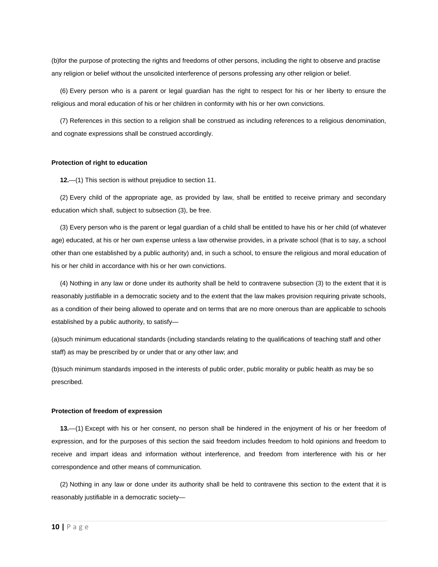(b)for the purpose of protecting the rights and freedoms of other persons, including the right to observe and practise any religion or belief without the unsolicited interference of persons professing any other religion or belief.

(6) Every person who is a parent or legal guardian has the right to respect for his or her liberty to ensure the religious and moral education of his or her children in conformity with his or her own convictions.

(7) References in this section to a religion shall be construed as including references to a religious denomination, and cognate expressions shall be construed accordingly.

#### **Protection of right to education**

**12.**—(1) This section is without prejudice to section 11.

(2) Every child of the appropriate age, as provided by law, shall be entitled to receive primary and secondary education which shall, subject to subsection (3), be free.

(3) Every person who is the parent or legal guardian of a child shall be entitled to have his or her child (of whatever age) educated, at his or her own expense unless a law otherwise provides, in a private school (that is to say, a school other than one established by a public authority) and, in such a school, to ensure the religious and moral education of his or her child in accordance with his or her own convictions.

(4) Nothing in any law or done under its authority shall be held to contravene subsection (3) to the extent that it is reasonably justifiable in a democratic society and to the extent that the law makes provision requiring private schools, as a condition of their being allowed to operate and on terms that are no more onerous than are applicable to schools established by a public authority, to satisfy—

(a)such minimum educational standards (including standards relating to the qualifications of teaching staff and other staff) as may be prescribed by or under that or any other law; and

(b)such minimum standards imposed in the interests of public order, public morality or public health as may be so prescribed.

#### **Protection of freedom of expression**

**13.**—(1) Except with his or her consent, no person shall be hindered in the enjoyment of his or her freedom of expression, and for the purposes of this section the said freedom includes freedom to hold opinions and freedom to receive and impart ideas and information without interference, and freedom from interference with his or her correspondence and other means of communication.

(2) Nothing in any law or done under its authority shall be held to contravene this section to the extent that it is reasonably justifiable in a democratic society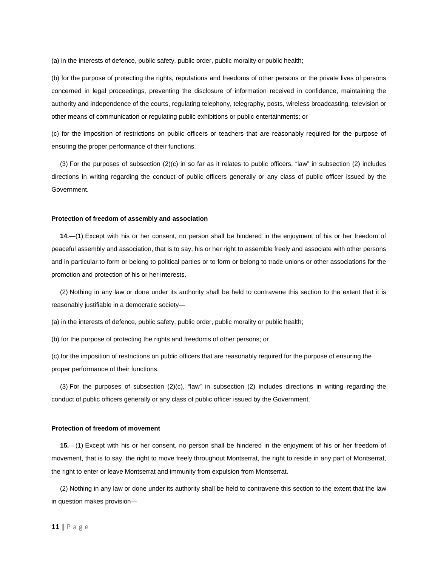(a) in the interests of defence, public safety, public order, public morality or public health;

(b) for the purpose of protecting the rights, reputations and freedoms of other persons or the private lives of persons concerned in legal proceedings, preventing the disclosure of information received in confidence, maintaining the authority and independence of the courts, regulating telephony, telegraphy, posts, wireless broadcasting, television or other means of communication or regulating public exhibitions or public entertainments; or

(c) for the imposition of restrictions on public officers or teachers that are reasonably required for the purpose of ensuring the proper performance of their functions.

(3) For the purposes of subsection (2)(c) in so far as it relates to public officers, "law" in subsection (2) includes directions in writing regarding the conduct of public officers generally or any class of public officer issued by the Government.

#### **Protection of freedom of assembly and association**

**14.**—(1) Except with his or her consent, no person shall be hindered in the enjoyment of his or her freedom of peaceful assembly and association, that is to say, his or her right to assemble freely and associate with other persons and in particular to form or belong to political parties or to form or belong to trade unions or other associations for the promotion and protection of his or her interests.

(2) Nothing in any law or done under its authority shall be held to contravene this section to the extent that it is reasonably justifiable in a democratic society—

(a) in the interests of defence, public safety, public order, public morality or public health;

(b) for the purpose of protecting the rights and freedoms of other persons; or

(c) for the imposition of restrictions on public officers that are reasonably required for the purpose of ensuring the proper performance of their functions.

(3) For the purposes of subsection (2)(c), "law" in subsection (2) includes directions in writing regarding the conduct of public officers generally or any class of public officer issued by the Government.

#### **Protection of freedom of movement**

**15.**—(1) Except with his or her consent, no person shall be hindered in the enjoyment of his or her freedom of movement, that is to say, the right to move freely throughout Montserrat, the right to reside in any part of Montserrat, the right to enter or leave Montserrat and immunity from expulsion from Montserrat.

(2) Nothing in any law or done under its authority shall be held to contravene this section to the extent that the law in question makes provision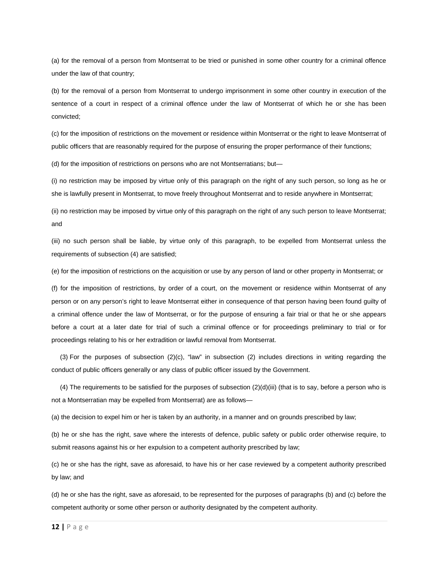(a) for the removal of a person from Montserrat to be tried or punished in some other country for a criminal offence under the law of that country;

(b) for the removal of a person from Montserrat to undergo imprisonment in some other country in execution of the sentence of a court in respect of a criminal offence under the law of Montserrat of which he or she has been convicted;

(c) for the imposition of restrictions on the movement or residence within Montserrat or the right to leave Montserrat of public officers that are reasonably required for the purpose of ensuring the proper performance of their functions;

(d) for the imposition of restrictions on persons who are not Montserratians; but—

(i) no restriction may be imposed by virtue only of this paragraph on the right of any such person, so long as he or she is lawfully present in Montserrat, to move freely throughout Montserrat and to reside anywhere in Montserrat;

(ii) no restriction may be imposed by virtue only of this paragraph on the right of any such person to leave Montserrat; and

(iii) no such person shall be liable, by virtue only of this paragraph, to be expelled from Montserrat unless the requirements of subsection (4) are satisfied;

(e) for the imposition of restrictions on the acquisition or use by any person of land or other property in Montserrat; or

(f) for the imposition of restrictions, by order of a court, on the movement or residence within Montserrat of any person or on any person's right to leave Montserrat either in consequence of that person having been found guilty of a criminal offence under the law of Montserrat, or for the purpose of ensuring a fair trial or that he or she appears before a court at a later date for trial of such a criminal offence or for proceedings preliminary to trial or for proceedings relating to his or her extradition or lawful removal from Montserrat.

(3) For the purposes of subsection (2)(c), "law" in subsection (2) includes directions in writing regarding the conduct of public officers generally or any class of public officer issued by the Government.

(4) The requirements to be satisfied for the purposes of subsection  $(2)(d)(iii)$  (that is to say, before a person who is not a Montserratian may be expelled from Montserrat) are as follows—

(a) the decision to expel him or her is taken by an authority, in a manner and on grounds prescribed by law;

(b) he or she has the right, save where the interests of defence, public safety or public order otherwise require, to submit reasons against his or her expulsion to a competent authority prescribed by law;

(c) he or she has the right, save as aforesaid, to have his or her case reviewed by a competent authority prescribed by law; and

(d) he or she has the right, save as aforesaid, to be represented for the purposes of paragraphs (b) and (c) before the competent authority or some other person or authority designated by the competent authority.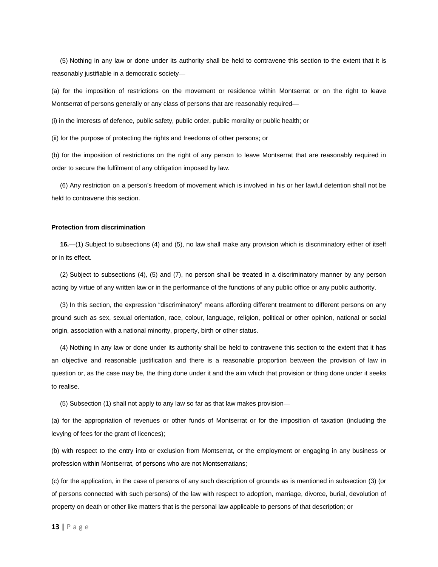(5) Nothing in any law or done under its authority shall be held to contravene this section to the extent that it is reasonably justifiable in a democratic society—

(a) for the imposition of restrictions on the movement or residence within Montserrat or on the right to leave Montserrat of persons generally or any class of persons that are reasonably required—

(i) in the interests of defence, public safety, public order, public morality or public health; or

(ii) for the purpose of protecting the rights and freedoms of other persons; or

(b) for the imposition of restrictions on the right of any person to leave Montserrat that are reasonably required in order to secure the fulfilment of any obligation imposed by law.

(6) Any restriction on a person's freedom of movement which is involved in his or her lawful detention shall not be held to contravene this section.

#### **Protection from discrimination**

**16.**—(1) Subject to subsections (4) and (5), no law shall make any provision which is discriminatory either of itself or in its effect.

(2) Subject to subsections (4), (5) and (7), no person shall be treated in a discriminatory manner by any person acting by virtue of any written law or in the performance of the functions of any public office or any public authority.

(3) In this section, the expression "discriminatory" means affording different treatment to different persons on any ground such as sex, sexual orientation, race, colour, language, religion, political or other opinion, national or social origin, association with a national minority, property, birth or other status.

(4) Nothing in any law or done under its authority shall be held to contravene this section to the extent that it has an objective and reasonable justification and there is a reasonable proportion between the provision of law in question or, as the case may be, the thing done under it and the aim which that provision or thing done under it seeks to realise.

(5) Subsection (1) shall not apply to any law so far as that law makes provision—

(a) for the appropriation of revenues or other funds of Montserrat or for the imposition of taxation (including the levying of fees for the grant of licences);

(b) with respect to the entry into or exclusion from Montserrat, or the employment or engaging in any business or profession within Montserrat, of persons who are not Montserratians;

(c) for the application, in the case of persons of any such description of grounds as is mentioned in subsection (3) (or of persons connected with such persons) of the law with respect to adoption, marriage, divorce, burial, devolution of property on death or other like matters that is the personal law applicable to persons of that description; or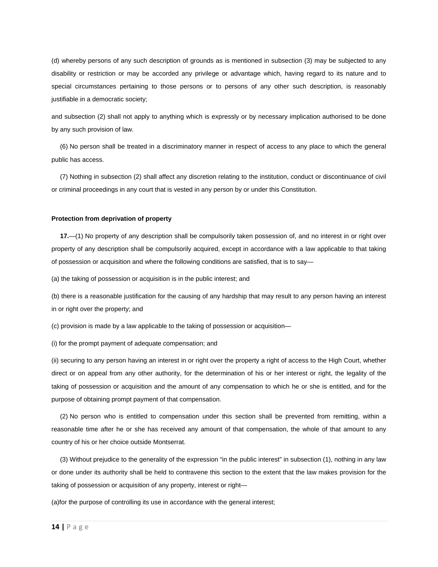(d) whereby persons of any such description of grounds as is mentioned in subsection (3) may be subjected to any disability or restriction or may be accorded any privilege or advantage which, having regard to its nature and to special circumstances pertaining to those persons or to persons of any other such description, is reasonably justifiable in a democratic society;

and subsection (2) shall not apply to anything which is expressly or by necessary implication authorised to be done by any such provision of law.

(6) No person shall be treated in a discriminatory manner in respect of access to any place to which the general public has access.

(7) Nothing in subsection (2) shall affect any discretion relating to the institution, conduct or discontinuance of civil or criminal proceedings in any court that is vested in any person by or under this Constitution.

#### **Protection from deprivation of property**

**17.**—(1) No property of any description shall be compulsorily taken possession of, and no interest in or right over property of any description shall be compulsorily acquired, except in accordance with a law applicable to that taking of possession or acquisition and where the following conditions are satisfied, that is to say—

(a) the taking of possession or acquisition is in the public interest; and

(b) there is a reasonable justification for the causing of any hardship that may result to any person having an interest in or right over the property; and

(c) provision is made by a law applicable to the taking of possession or acquisition—

(i) for the prompt payment of adequate compensation; and

(ii) securing to any person having an interest in or right over the property a right of access to the High Court, whether direct or on appeal from any other authority, for the determination of his or her interest or right, the legality of the taking of possession or acquisition and the amount of any compensation to which he or she is entitled, and for the purpose of obtaining prompt payment of that compensation.

(2) No person who is entitled to compensation under this section shall be prevented from remitting, within a reasonable time after he or she has received any amount of that compensation, the whole of that amount to any country of his or her choice outside Montserrat.

(3) Without prejudice to the generality of the expression "in the public interest" in subsection (1), nothing in any law or done under its authority shall be held to contravene this section to the extent that the law makes provision for the taking of possession or acquisition of any property, interest or right—

(a)for the purpose of controlling its use in accordance with the general interest;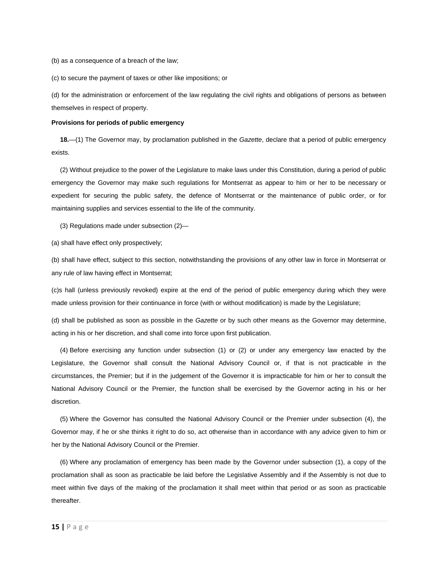(b) as a consequence of a breach of the law;

(c) to secure the payment of taxes or other like impositions; or

(d) for the administration or enforcement of the law regulating the civil rights and obligations of persons as between themselves in respect of property.

#### **Provisions for periods of public emergency**

**18.**—(1) The Governor may, by proclamation published in the *Gazette*, declare that a period of public emergency exists.

(2) Without prejudice to the power of the Legislature to make laws under this Constitution, during a period of public emergency the Governor may make such regulations for Montserrat as appear to him or her to be necessary or expedient for securing the public safety, the defence of Montserrat or the maintenance of public order, or for maintaining supplies and services essential to the life of the community.

(3) Regulations made under subsection (2)—

(a) shall have effect only prospectively;

(b) shall have effect, subject to this section, notwithstanding the provisions of any other law in force in Montserrat or any rule of law having effect in Montserrat;

(c)s hall (unless previously revoked) expire at the end of the period of public emergency during which they were made unless provision for their continuance in force (with or without modification) is made by the Legislature;

(d) shall be published as soon as possible in the *Gazette* or by such other means as the Governor may determine, acting in his or her discretion, and shall come into force upon first publication.

(4) Before exercising any function under subsection (1) or (2) or under any emergency law enacted by the Legislature, the Governor shall consult the National Advisory Council or, if that is not practicable in the circumstances, the Premier; but if in the judgement of the Governor it is impracticable for him or her to consult the National Advisory Council or the Premier, the function shall be exercised by the Governor acting in his or her discretion.

(5) Where the Governor has consulted the National Advisory Council or the Premier under subsection (4), the Governor may, if he or she thinks it right to do so, act otherwise than in accordance with any advice given to him or her by the National Advisory Council or the Premier.

(6) Where any proclamation of emergency has been made by the Governor under subsection (1), a copy of the proclamation shall as soon as practicable be laid before the Legislative Assembly and if the Assembly is not due to meet within five days of the making of the proclamation it shall meet within that period or as soon as practicable thereafter.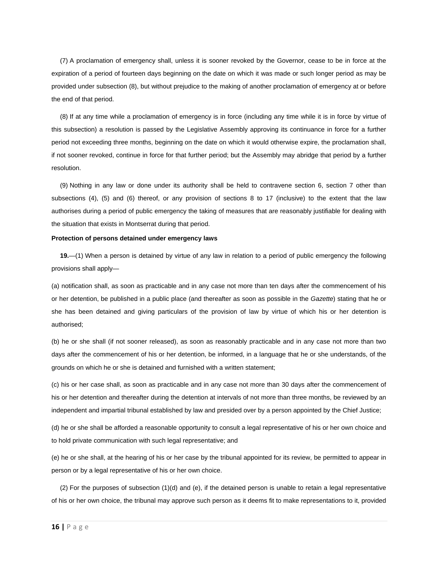(7) A proclamation of emergency shall, unless it is sooner revoked by the Governor, cease to be in force at the expiration of a period of fourteen days beginning on the date on which it was made or such longer period as may be provided under subsection (8), but without prejudice to the making of another proclamation of emergency at or before the end of that period.

(8) If at any time while a proclamation of emergency is in force (including any time while it is in force by virtue of this subsection) a resolution is passed by the Legislative Assembly approving its continuance in force for a further period not exceeding three months, beginning on the date on which it would otherwise expire, the proclamation shall, if not sooner revoked, continue in force for that further period; but the Assembly may abridge that period by a further resolution.

(9) Nothing in any law or done under its authority shall be held to contravene section 6, section 7 other than subsections (4), (5) and (6) thereof, or any provision of sections 8 to 17 (inclusive) to the extent that the law authorises during a period of public emergency the taking of measures that are reasonably justifiable for dealing with the situation that exists in Montserrat during that period.

#### **Protection of persons detained under emergency laws**

**19.**—(1) When a person is detained by virtue of any law in relation to a period of public emergency the following provisions shall apply—

(a) notification shall, as soon as practicable and in any case not more than ten days after the commencement of his or her detention, be published in a public place (and thereafter as soon as possible in the *Gazette*) stating that he or she has been detained and giving particulars of the provision of law by virtue of which his or her detention is authorised;

(b) he or she shall (if not sooner released), as soon as reasonably practicable and in any case not more than two days after the commencement of his or her detention, be informed, in a language that he or she understands, of the grounds on which he or she is detained and furnished with a written statement;

(c) his or her case shall, as soon as practicable and in any case not more than 30 days after the commencement of his or her detention and thereafter during the detention at intervals of not more than three months, be reviewed by an independent and impartial tribunal established by law and presided over by a person appointed by the Chief Justice;

(d) he or she shall be afforded a reasonable opportunity to consult a legal representative of his or her own choice and to hold private communication with such legal representative; and

(e) he or she shall, at the hearing of his or her case by the tribunal appointed for its review, be permitted to appear in person or by a legal representative of his or her own choice.

(2) For the purposes of subsection (1)(d) and (e), if the detained person is unable to retain a legal representative of his or her own choice, the tribunal may approve such person as it deems fit to make representations to it, provided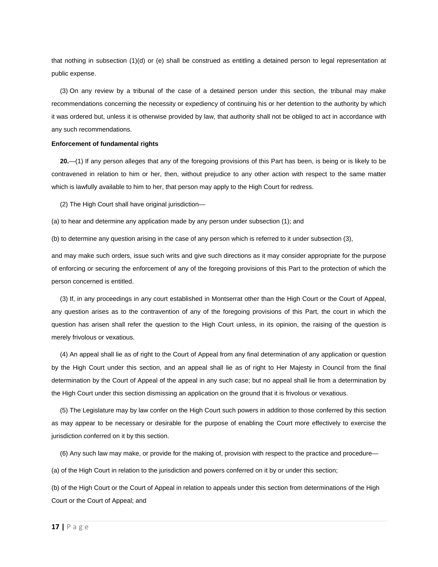that nothing in subsection (1)(d) or (e) shall be construed as entitling a detained person to legal representation at public expense.

(3) On any review by a tribunal of the case of a detained person under this section, the tribunal may make recommendations concerning the necessity or expediency of continuing his or her detention to the authority by which it was ordered but, unless it is otherwise provided by law, that authority shall not be obliged to act in accordance with any such recommendations.

#### **Enforcement of fundamental rights**

**20.**—(1) If any person alleges that any of the foregoing provisions of this Part has been, is being or is likely to be contravened in relation to him or her, then, without prejudice to any other action with respect to the same matter which is lawfully available to him to her, that person may apply to the High Court for redress.

(2) The High Court shall have original jurisdiction—

(a) to hear and determine any application made by any person under subsection (1); and

(b) to determine any question arising in the case of any person which is referred to it under subsection (3),

and may make such orders, issue such writs and give such directions as it may consider appropriate for the purpose of enforcing or securing the enforcement of any of the foregoing provisions of this Part to the protection of which the person concerned is entitled.

(3) If, in any proceedings in any court established in Montserrat other than the High Court or the Court of Appeal, any question arises as to the contravention of any of the foregoing provisions of this Part, the court in which the question has arisen shall refer the question to the High Court unless, in its opinion, the raising of the question is merely frivolous or vexatious.

(4) An appeal shall lie as of right to the Court of Appeal from any final determination of any application or question by the High Court under this section, and an appeal shall lie as of right to Her Majesty in Council from the final determination by the Court of Appeal of the appeal in any such case; but no appeal shall lie from a determination by the High Court under this section dismissing an application on the ground that it is frivolous or vexatious.

(5) The Legislature may by law confer on the High Court such powers in addition to those conferred by this section as may appear to be necessary or desirable for the purpose of enabling the Court more effectively to exercise the jurisdiction conferred on it by this section.

(6) Any such law may make, or provide for the making of, provision with respect to the practice and procedure—

(a) of the High Court in relation to the jurisdiction and powers conferred on it by or under this section;

(b) of the High Court or the Court of Appeal in relation to appeals under this section from determinations of the High Court or the Court of Appeal; and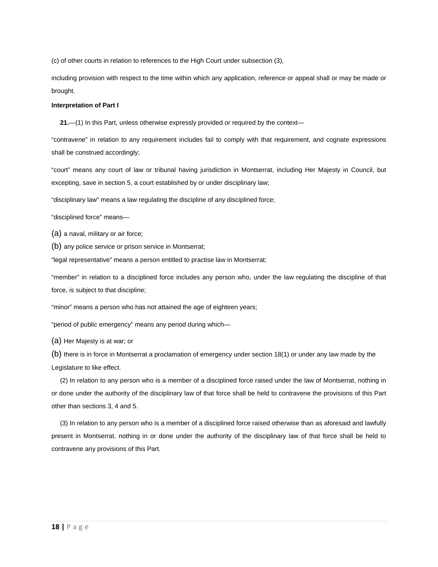(c) of other courts in relation to references to the High Court under subsection (3),

including provision with respect to the time within which any application, reference or appeal shall or may be made or brought.

#### **Interpretation of Part I**

**21.**—(1) In this Part, unless otherwise expressly provided or required by the context—

"contravene" in relation to any requirement includes fail to comply with that requirement, and cognate expressions shall be construed accordingly;

"court" means any court of law or tribunal having jurisdiction in Montserrat, including Her Majesty in Council, but excepting, save in section 5, a court established by or under disciplinary law;

"disciplinary law" means a law regulating the discipline of any disciplined force;

"disciplined force" means—

(a) a naval, military or air force;

(b) any police service or prison service in Montserrat;

"legal representative" means a person entitled to practise law in Montserrat;

"member" in relation to a disciplined force includes any person who, under the law regulating the discipline of that force, is subject to that discipline;

"minor" means a person who has not attained the age of eighteen years;

"period of public emergency" means any period during which—

(a) Her Majesty is at war; or

(b) there is in force in Montserrat a proclamation of emergency under section 18(1) or under any law made by the Legislature to like effect.

(2) In relation to any person who is a member of a disciplined force raised under the law of Montserrat, nothing in or done under the authority of the disciplinary law of that force shall be held to contravene the provisions of this Part other than sections 3, 4 and 5.

(3) In relation to any person who is a member of a disciplined force raised otherwise than as aforesaid and lawfully present in Montserrat, nothing in or done under the authority of the disciplinary law of that force shall be held to contravene any provisions of this Part.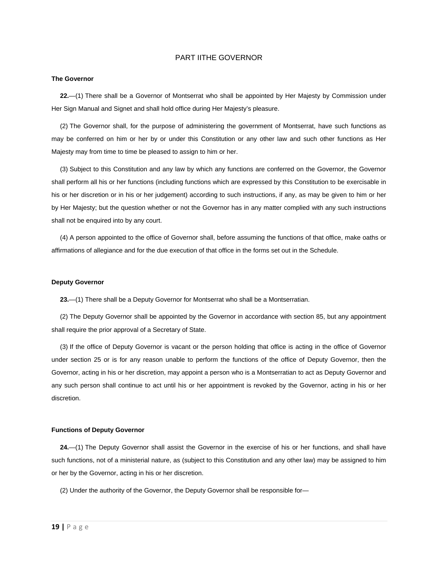### PART IITHE GOVERNOR

#### **The Governor**

**22.**—(1) There shall be a Governor of Montserrat who shall be appointed by Her Majesty by Commission under Her Sign Manual and Signet and shall hold office during Her Majesty's pleasure.

(2) The Governor shall, for the purpose of administering the government of Montserrat, have such functions as may be conferred on him or her by or under this Constitution or any other law and such other functions as Her Majesty may from time to time be pleased to assign to him or her.

(3) Subject to this Constitution and any law by which any functions are conferred on the Governor, the Governor shall perform all his or her functions (including functions which are expressed by this Constitution to be exercisable in his or her discretion or in his or her judgement) according to such instructions, if any, as may be given to him or her by Her Majesty; but the question whether or not the Governor has in any matter complied with any such instructions shall not be enquired into by any court.

(4) A person appointed to the office of Governor shall, before assuming the functions of that office, make oaths or affirmations of allegiance and for the due execution of that office in the forms set out in the Schedule.

#### **Deputy Governor**

**23.**—(1) There shall be a Deputy Governor for Montserrat who shall be a Montserratian.

(2) The Deputy Governor shall be appointed by the Governor in accordance with section 85, but any appointment shall require the prior approval of a Secretary of State.

(3) If the office of Deputy Governor is vacant or the person holding that office is acting in the office of Governor under section 25 or is for any reason unable to perform the functions of the office of Deputy Governor, then the Governor, acting in his or her discretion, may appoint a person who is a Montserratian to act as Deputy Governor and any such person shall continue to act until his or her appointment is revoked by the Governor, acting in his or her discretion.

#### **Functions of Deputy Governor**

**24.**—(1) The Deputy Governor shall assist the Governor in the exercise of his or her functions, and shall have such functions, not of a ministerial nature, as (subject to this Constitution and any other law) may be assigned to him or her by the Governor, acting in his or her discretion.

(2) Under the authority of the Governor, the Deputy Governor shall be responsible for—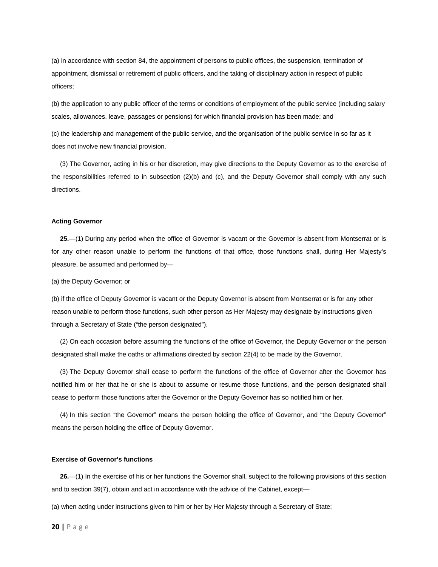(a) in accordance with section 84, the appointment of persons to public offices, the suspension, termination of appointment, dismissal or retirement of public officers, and the taking of disciplinary action in respect of public officers;

(b) the application to any public officer of the terms or conditions of employment of the public service (including salary scales, allowances, leave, passages or pensions) for which financial provision has been made; and

(c) the leadership and management of the public service, and the organisation of the public service in so far as it does not involve new financial provision.

(3) The Governor, acting in his or her discretion, may give directions to the Deputy Governor as to the exercise of the responsibilities referred to in subsection (2)(b) and (c), and the Deputy Governor shall comply with any such directions.

#### **Acting Governor**

**25.**—(1) During any period when the office of Governor is vacant or the Governor is absent from Montserrat or is for any other reason unable to perform the functions of that office, those functions shall, during Her Majesty's pleasure, be assumed and performed by—

(a) the Deputy Governor; or

(b) if the office of Deputy Governor is vacant or the Deputy Governor is absent from Montserrat or is for any other reason unable to perform those functions, such other person as Her Majesty may designate by instructions given through a Secretary of State ("the person designated").

(2) On each occasion before assuming the functions of the office of Governor, the Deputy Governor or the person designated shall make the oaths or affirmations directed by section 22(4) to be made by the Governor.

(3) The Deputy Governor shall cease to perform the functions of the office of Governor after the Governor has notified him or her that he or she is about to assume or resume those functions, and the person designated shall cease to perform those functions after the Governor or the Deputy Governor has so notified him or her.

(4) In this section "the Governor" means the person holding the office of Governor, and "the Deputy Governor" means the person holding the office of Deputy Governor.

#### **Exercise of Governor's functions**

**26.**—(1) In the exercise of his or her functions the Governor shall, subject to the following provisions of this section and to section 39(7), obtain and act in accordance with the advice of the Cabinet, except—

(a) when acting under instructions given to him or her by Her Majesty through a Secretary of State;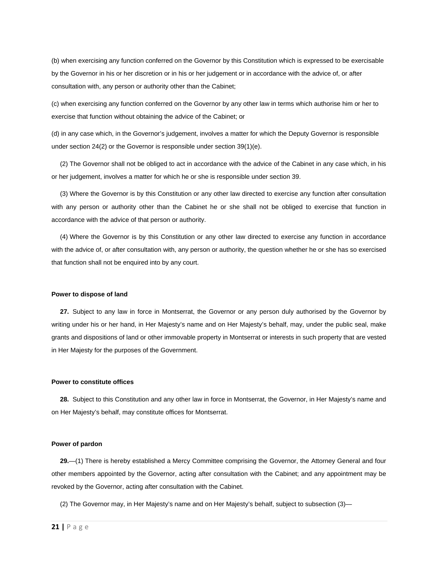(b) when exercising any function conferred on the Governor by this Constitution which is expressed to be exercisable by the Governor in his or her discretion or in his or her judgement or in accordance with the advice of, or after consultation with, any person or authority other than the Cabinet;

(c) when exercising any function conferred on the Governor by any other law in terms which authorise him or her to exercise that function without obtaining the advice of the Cabinet; or

(d) in any case which, in the Governor's judgement, involves a matter for which the Deputy Governor is responsible under section 24(2) or the Governor is responsible under section 39(1)(e).

(2) The Governor shall not be obliged to act in accordance with the advice of the Cabinet in any case which, in his or her judgement, involves a matter for which he or she is responsible under section 39.

(3) Where the Governor is by this Constitution or any other law directed to exercise any function after consultation with any person or authority other than the Cabinet he or she shall not be obliged to exercise that function in accordance with the advice of that person or authority.

(4) Where the Governor is by this Constitution or any other law directed to exercise any function in accordance with the advice of, or after consultation with, any person or authority, the question whether he or she has so exercised that function shall not be enquired into by any court.

#### **Power to dispose of land**

**27.** Subject to any law in force in Montserrat, the Governor or any person duly authorised by the Governor by writing under his or her hand, in Her Majesty's name and on Her Majesty's behalf, may, under the public seal, make grants and dispositions of land or other immovable property in Montserrat or interests in such property that are vested in Her Majesty for the purposes of the Government.

#### **Power to constitute offices**

**28.** Subject to this Constitution and any other law in force in Montserrat, the Governor, in Her Majesty's name and on Her Majesty's behalf, may constitute offices for Montserrat.

#### **Power of pardon**

**29.**—(1) There is hereby established a Mercy Committee comprising the Governor, the Attorney General and four other members appointed by the Governor, acting after consultation with the Cabinet; and any appointment may be revoked by the Governor, acting after consultation with the Cabinet.

(2) The Governor may, in Her Majesty's name and on Her Majesty's behalf, subject to subsection (3)—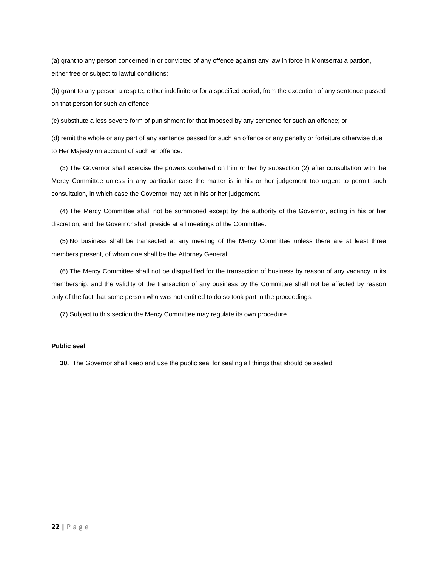(a) grant to any person concerned in or convicted of any offence against any law in force in Montserrat a pardon, either free or subject to lawful conditions;

(b) grant to any person a respite, either indefinite or for a specified period, from the execution of any sentence passed on that person for such an offence;

(c) substitute a less severe form of punishment for that imposed by any sentence for such an offence; or

(d) remit the whole or any part of any sentence passed for such an offence or any penalty or forfeiture otherwise due to Her Majesty on account of such an offence.

(3) The Governor shall exercise the powers conferred on him or her by subsection (2) after consultation with the Mercy Committee unless in any particular case the matter is in his or her judgement too urgent to permit such consultation, in which case the Governor may act in his or her judgement.

(4) The Mercy Committee shall not be summoned except by the authority of the Governor, acting in his or her discretion; and the Governor shall preside at all meetings of the Committee.

(5) No business shall be transacted at any meeting of the Mercy Committee unless there are at least three members present, of whom one shall be the Attorney General.

(6) The Mercy Committee shall not be disqualified for the transaction of business by reason of any vacancy in its membership, and the validity of the transaction of any business by the Committee shall not be affected by reason only of the fact that some person who was not entitled to do so took part in the proceedings.

(7) Subject to this section the Mercy Committee may regulate its own procedure.

#### **Public seal**

**30.** The Governor shall keep and use the public seal for sealing all things that should be sealed.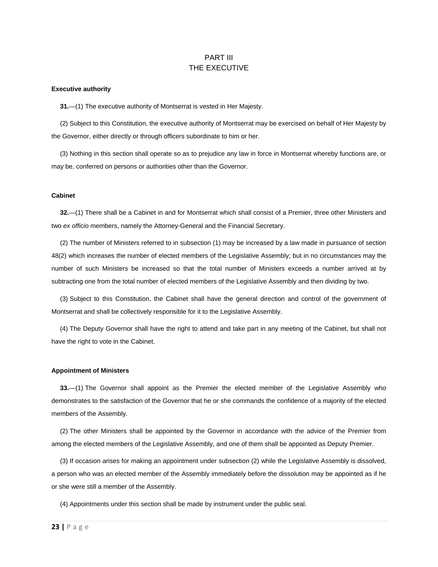## PART III THE EXECUTIVE

#### **Executive authority**

**31.**—(1) The executive authority of Montserrat is vested in Her Majesty.

(2) Subject to this Constitution, the executive authority of Montserrat may be exercised on behalf of Her Majesty by the Governor, either directly or through officers subordinate to him or her.

(3) Nothing in this section shall operate so as to prejudice any law in force in Montserrat whereby functions are, or may be, conferred on persons or authorities other than the Governor.

#### **Cabinet**

**32.**—(1) There shall be a Cabinet in and for Montserrat which shall consist of a Premier, three other Ministers and two *ex officio* members, namely the Attorney-General and the Financial Secretary.

(2) The number of Ministers referred to in subsection (1) may be increased by a law made in pursuance of section 48(2) which increases the number of elected members of the Legislative Assembly; but in no circumstances may the number of such Ministers be increased so that the total number of Ministers exceeds a number arrived at by subtracting one from the total number of elected members of the Legislative Assembly and then dividing by two.

(3) Subject to this Constitution, the Cabinet shall have the general direction and control of the government of Montserrat and shall be collectively responsible for it to the Legislative Assembly.

(4) The Deputy Governor shall have the right to attend and take part in any meeting of the Cabinet, but shall not have the right to vote in the Cabinet.

#### **Appointment of Ministers**

**33.**—(1) The Governor shall appoint as the Premier the elected member of the Legislative Assembly who demonstrates to the satisfaction of the Governor that he or she commands the confidence of a majority of the elected members of the Assembly.

(2) The other Ministers shall be appointed by the Governor in accordance with the advice of the Premier from among the elected members of the Legislative Assembly, and one of them shall be appointed as Deputy Premier.

(3) If occasion arises for making an appointment under subsection (2) while the Legislative Assembly is dissolved, a person who was an elected member of the Assembly immediately before the dissolution may be appointed as if he or she were still a member of the Assembly.

(4) Appointments under this section shall be made by instrument under the public seal.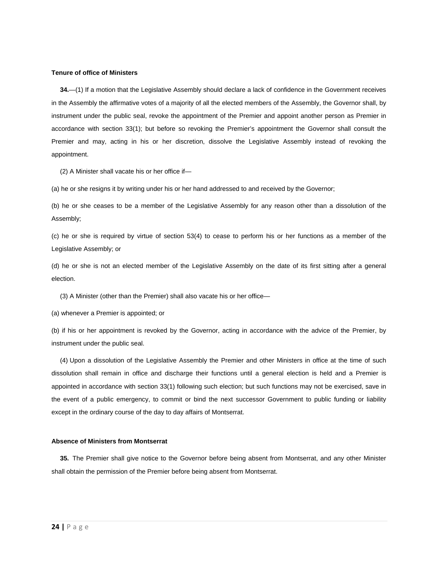#### **Tenure of office of Ministers**

**34.**—(1) If a motion that the Legislative Assembly should declare a lack of confidence in the Government receives in the Assembly the affirmative votes of a majority of all the elected members of the Assembly, the Governor shall, by instrument under the public seal, revoke the appointment of the Premier and appoint another person as Premier in accordance with section 33(1); but before so revoking the Premier's appointment the Governor shall consult the Premier and may, acting in his or her discretion, dissolve the Legislative Assembly instead of revoking the appointment.

(2) A Minister shall vacate his or her office if—

(a) he or she resigns it by writing under his or her hand addressed to and received by the Governor;

(b) he or she ceases to be a member of the Legislative Assembly for any reason other than a dissolution of the Assembly;

(c) he or she is required by virtue of section 53(4) to cease to perform his or her functions as a member of the Legislative Assembly; or

(d) he or she is not an elected member of the Legislative Assembly on the date of its first sitting after a general election.

(3) A Minister (other than the Premier) shall also vacate his or her office—

(a) whenever a Premier is appointed; or

(b) if his or her appointment is revoked by the Governor, acting in accordance with the advice of the Premier, by instrument under the public seal.

(4) Upon a dissolution of the Legislative Assembly the Premier and other Ministers in office at the time of such dissolution shall remain in office and discharge their functions until a general election is held and a Premier is appointed in accordance with section 33(1) following such election; but such functions may not be exercised, save in the event of a public emergency, to commit or bind the next successor Government to public funding or liability except in the ordinary course of the day to day affairs of Montserrat.

#### **Absence of Ministers from Montserrat**

**35.** The Premier shall give notice to the Governor before being absent from Montserrat, and any other Minister shall obtain the permission of the Premier before being absent from Montserrat.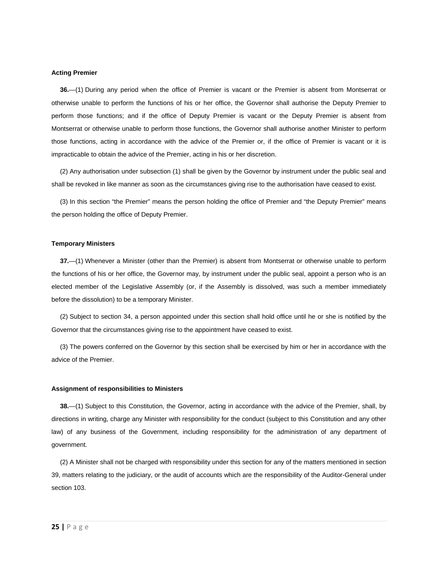#### **Acting Premier**

**36.**—(1) During any period when the office of Premier is vacant or the Premier is absent from Montserrat or otherwise unable to perform the functions of his or her office, the Governor shall authorise the Deputy Premier to perform those functions; and if the office of Deputy Premier is vacant or the Deputy Premier is absent from Montserrat or otherwise unable to perform those functions, the Governor shall authorise another Minister to perform those functions, acting in accordance with the advice of the Premier or, if the office of Premier is vacant or it is impracticable to obtain the advice of the Premier, acting in his or her discretion.

(2) Any authorisation under subsection (1) shall be given by the Governor by instrument under the public seal and shall be revoked in like manner as soon as the circumstances giving rise to the authorisation have ceased to exist.

(3) In this section "the Premier" means the person holding the office of Premier and "the Deputy Premier" means the person holding the office of Deputy Premier.

#### **Temporary Ministers**

**37.**—(1) Whenever a Minister (other than the Premier) is absent from Montserrat or otherwise unable to perform the functions of his or her office, the Governor may, by instrument under the public seal, appoint a person who is an elected member of the Legislative Assembly (or, if the Assembly is dissolved, was such a member immediately before the dissolution) to be a temporary Minister.

(2) Subject to section 34, a person appointed under this section shall hold office until he or she is notified by the Governor that the circumstances giving rise to the appointment have ceased to exist.

(3) The powers conferred on the Governor by this section shall be exercised by him or her in accordance with the advice of the Premier.

#### **Assignment of responsibilities to Ministers**

**38.**—(1) Subject to this Constitution, the Governor, acting in accordance with the advice of the Premier, shall, by directions in writing, charge any Minister with responsibility for the conduct (subject to this Constitution and any other law) of any business of the Government, including responsibility for the administration of any department of government.

(2) A Minister shall not be charged with responsibility under this section for any of the matters mentioned in section 39, matters relating to the judiciary, or the audit of accounts which are the responsibility of the Auditor-General under section 103.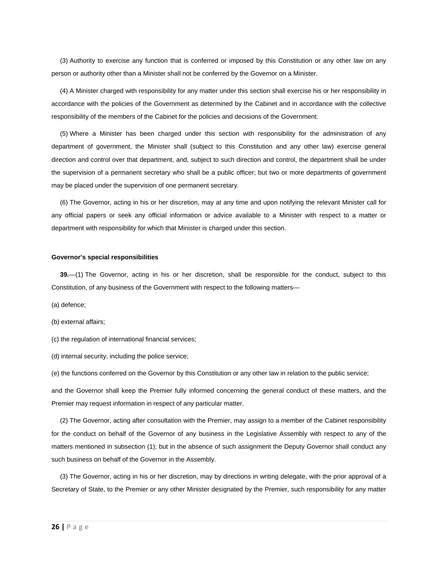(3) Authority to exercise any function that is conferred or imposed by this Constitution or any other law on any person or authority other than a Minister shall not be conferred by the Governor on a Minister.

(4) A Minister charged with responsibility for any matter under this section shall exercise his or her responsibility in accordance with the policies of the Government as determined by the Cabinet and in accordance with the collective responsibility of the members of the Cabinet for the policies and decisions of the Government.

(5) Where a Minister has been charged under this section with responsibility for the administration of any department of government, the Minister shall (subject to this Constitution and any other law) exercise general direction and control over that department, and, subject to such direction and control, the department shall be under the supervision of a permanent secretary who shall be a public officer; but two or more departments of government may be placed under the supervision of one permanent secretary.

(6) The Governor, acting in his or her discretion, may at any time and upon notifying the relevant Minister call for any official papers or seek any official information or advice available to a Minister with respect to a matter or department with responsibility for which that Minister is charged under this section.

#### **Governor's special responsibilities**

**39.**—(1) The Governor, acting in his or her discretion, shall be responsible for the conduct, subject to this Constitution, of any business of the Government with respect to the following matters—

- (a) defence;
- (b) external affairs;
- (c) the regulation of international financial services;
- (d) internal security, including the police service;

(e) the functions conferred on the Governor by this Constitution or any other law in relation to the public service;

and the Governor shall keep the Premier fully informed concerning the general conduct of these matters, and the Premier may request information in respect of any particular matter.

(2) The Governor, acting after consultation with the Premier, may assign to a member of the Cabinet responsibility for the conduct on behalf of the Governor of any business in the Legislative Assembly with respect to any of the matters mentioned in subsection (1); but in the absence of such assignment the Deputy Governor shall conduct any such business on behalf of the Governor in the Assembly.

(3) The Governor, acting in his or her discretion, may by directions in writing delegate, with the prior approval of a Secretary of State, to the Premier or any other Minister designated by the Premier, such responsibility for any matter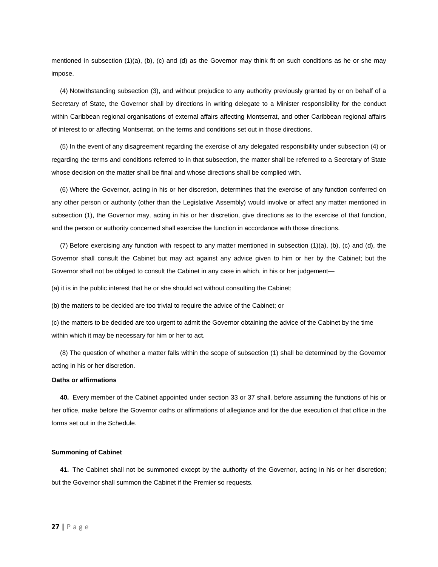mentioned in subsection (1)(a), (b), (c) and (d) as the Governor may think fit on such conditions as he or she may impose.

(4) Notwithstanding subsection (3), and without prejudice to any authority previously granted by or on behalf of a Secretary of State, the Governor shall by directions in writing delegate to a Minister responsibility for the conduct within Caribbean regional organisations of external affairs affecting Montserrat, and other Caribbean regional affairs of interest to or affecting Montserrat, on the terms and conditions set out in those directions.

(5) In the event of any disagreement regarding the exercise of any delegated responsibility under subsection (4) or regarding the terms and conditions referred to in that subsection, the matter shall be referred to a Secretary of State whose decision on the matter shall be final and whose directions shall be complied with.

(6) Where the Governor, acting in his or her discretion, determines that the exercise of any function conferred on any other person or authority (other than the Legislative Assembly) would involve or affect any matter mentioned in subsection (1), the Governor may, acting in his or her discretion, give directions as to the exercise of that function, and the person or authority concerned shall exercise the function in accordance with those directions.

(7) Before exercising any function with respect to any matter mentioned in subsection (1)(a), (b), (c) and (d), the Governor shall consult the Cabinet but may act against any advice given to him or her by the Cabinet; but the Governor shall not be obliged to consult the Cabinet in any case in which, in his or her judgement-

(a) it is in the public interest that he or she should act without consulting the Cabinet;

(b) the matters to be decided are too trivial to require the advice of the Cabinet; or

(c) the matters to be decided are too urgent to admit the Governor obtaining the advice of the Cabinet by the time within which it may be necessary for him or her to act.

(8) The question of whether a matter falls within the scope of subsection (1) shall be determined by the Governor acting in his or her discretion.

#### **Oaths or affirmations**

**40.** Every member of the Cabinet appointed under section 33 or 37 shall, before assuming the functions of his or her office, make before the Governor oaths or affirmations of allegiance and for the due execution of that office in the forms set out in the Schedule.

#### **Summoning of Cabinet**

**41.** The Cabinet shall not be summoned except by the authority of the Governor, acting in his or her discretion; but the Governor shall summon the Cabinet if the Premier so requests.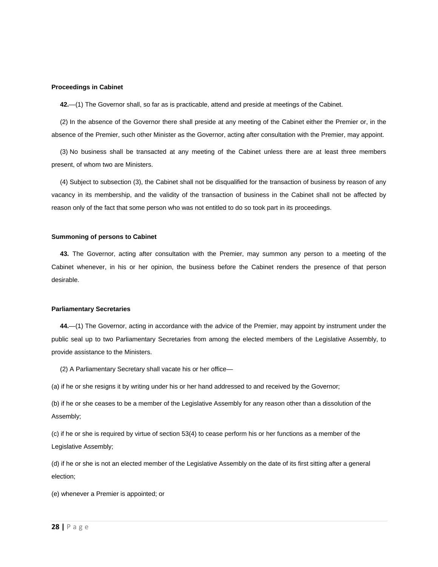#### **Proceedings in Cabinet**

**42.**—(1) The Governor shall, so far as is practicable, attend and preside at meetings of the Cabinet.

(2) In the absence of the Governor there shall preside at any meeting of the Cabinet either the Premier or, in the absence of the Premier, such other Minister as the Governor, acting after consultation with the Premier, may appoint.

(3) No business shall be transacted at any meeting of the Cabinet unless there are at least three members present, of whom two are Ministers.

(4) Subject to subsection (3), the Cabinet shall not be disqualified for the transaction of business by reason of any vacancy in its membership, and the validity of the transaction of business in the Cabinet shall not be affected by reason only of the fact that some person who was not entitled to do so took part in its proceedings.

#### **Summoning of persons to Cabinet**

**43.** The Governor, acting after consultation with the Premier, may summon any person to a meeting of the Cabinet whenever, in his or her opinion, the business before the Cabinet renders the presence of that person desirable.

#### **Parliamentary Secretaries**

**44.**—(1) The Governor, acting in accordance with the advice of the Premier, may appoint by instrument under the public seal up to two Parliamentary Secretaries from among the elected members of the Legislative Assembly, to provide assistance to the Ministers.

(2) A Parliamentary Secretary shall vacate his or her office—

(a) if he or she resigns it by writing under his or her hand addressed to and received by the Governor;

(b) if he or she ceases to be a member of the Legislative Assembly for any reason other than a dissolution of the Assembly;

(c) if he or she is required by virtue of section 53(4) to cease perform his or her functions as a member of the Legislative Assembly;

(d) if he or she is not an elected member of the Legislative Assembly on the date of its first sitting after a general election;

(e) whenever a Premier is appointed; or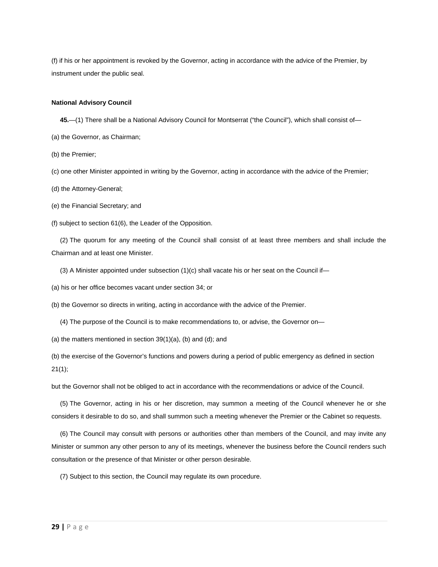(f) if his or her appointment is revoked by the Governor, acting in accordance with the advice of the Premier, by instrument under the public seal.

#### **National Advisory Council**

**45.**—(1) There shall be a National Advisory Council for Montserrat ("the Council"), which shall consist of—

- (a) the Governor, as Chairman;
- (b) the Premier;
- (c) one other Minister appointed in writing by the Governor, acting in accordance with the advice of the Premier;
- (d) the Attorney-General;
- (e) the Financial Secretary; and
- (f) subject to section 61(6), the Leader of the Opposition.

(2) The quorum for any meeting of the Council shall consist of at least three members and shall include the Chairman and at least one Minister.

- (3) A Minister appointed under subsection  $(1)(c)$  shall vacate his or her seat on the Council if-
- (a) his or her office becomes vacant under section 34; or
- (b) the Governor so directs in writing, acting in accordance with the advice of the Premier.
	- (4) The purpose of the Council is to make recommendations to, or advise, the Governor on—
- (a) the matters mentioned in section 39(1)(a), (b) and (d); and
- (b) the exercise of the Governor's functions and powers during a period of public emergency as defined in section 21(1);

but the Governor shall not be obliged to act in accordance with the recommendations or advice of the Council.

(5) The Governor, acting in his or her discretion, may summon a meeting of the Council whenever he or she considers it desirable to do so, and shall summon such a meeting whenever the Premier or the Cabinet so requests.

(6) The Council may consult with persons or authorities other than members of the Council, and may invite any Minister or summon any other person to any of its meetings, whenever the business before the Council renders such consultation or the presence of that Minister or other person desirable.

(7) Subject to this section, the Council may regulate its own procedure.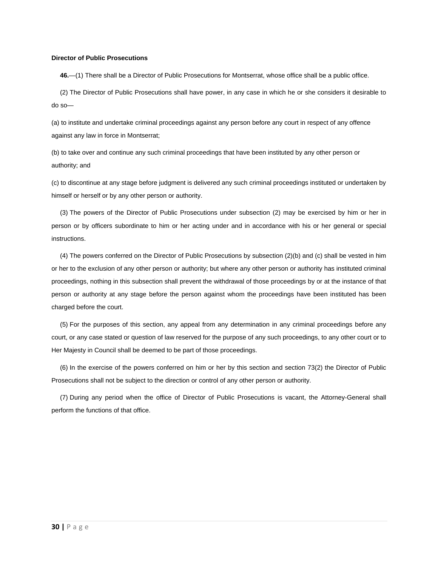#### **Director of Public Prosecutions**

**46.**—(1) There shall be a Director of Public Prosecutions for Montserrat, whose office shall be a public office.

(2) The Director of Public Prosecutions shall have power, in any case in which he or she considers it desirable to do so—

(a) to institute and undertake criminal proceedings against any person before any court in respect of any offence against any law in force in Montserrat;

(b) to take over and continue any such criminal proceedings that have been instituted by any other person or authority; and

(c) to discontinue at any stage before judgment is delivered any such criminal proceedings instituted or undertaken by himself or herself or by any other person or authority.

(3) The powers of the Director of Public Prosecutions under subsection (2) may be exercised by him or her in person or by officers subordinate to him or her acting under and in accordance with his or her general or special instructions.

(4) The powers conferred on the Director of Public Prosecutions by subsection (2)(b) and (c) shall be vested in him or her to the exclusion of any other person or authority; but where any other person or authority has instituted criminal proceedings, nothing in this subsection shall prevent the withdrawal of those proceedings by or at the instance of that person or authority at any stage before the person against whom the proceedings have been instituted has been charged before the court.

(5) For the purposes of this section, any appeal from any determination in any criminal proceedings before any court, or any case stated or question of law reserved for the purpose of any such proceedings, to any other court or to Her Majesty in Council shall be deemed to be part of those proceedings.

(6) In the exercise of the powers conferred on him or her by this section and section 73(2) the Director of Public Prosecutions shall not be subject to the direction or control of any other person or authority.

(7) During any period when the office of Director of Public Prosecutions is vacant, the Attorney-General shall perform the functions of that office.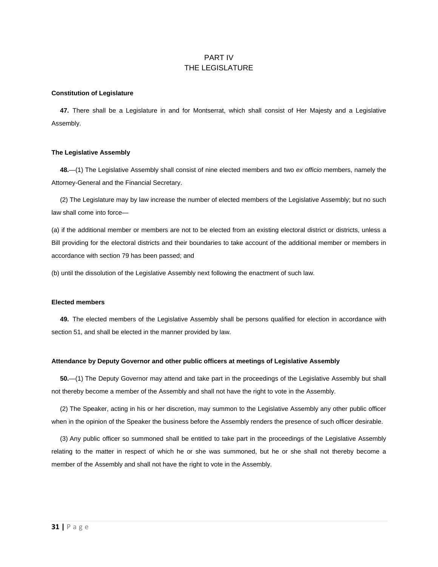## PART IV THE LEGISLATURE

#### **Constitution of Legislature**

**47.** There shall be a Legislature in and for Montserrat, which shall consist of Her Majesty and a Legislative Assembly.

#### **The Legislative Assembly**

**48.**—(1) The Legislative Assembly shall consist of nine elected members and two *ex officio* members, namely the Attorney-General and the Financial Secretary.

(2) The Legislature may by law increase the number of elected members of the Legislative Assembly; but no such law shall come into force—

(a) if the additional member or members are not to be elected from an existing electoral district or districts, unless a Bill providing for the electoral districts and their boundaries to take account of the additional member or members in accordance with section 79 has been passed; and

(b) until the dissolution of the Legislative Assembly next following the enactment of such law.

#### **Elected members**

**49.** The elected members of the Legislative Assembly shall be persons qualified for election in accordance with section 51, and shall be elected in the manner provided by law.

#### **Attendance by Deputy Governor and other public officers at meetings of Legislative Assembly**

**50.**—(1) The Deputy Governor may attend and take part in the proceedings of the Legislative Assembly but shall not thereby become a member of the Assembly and shall not have the right to vote in the Assembly.

(2) The Speaker, acting in his or her discretion, may summon to the Legislative Assembly any other public officer when in the opinion of the Speaker the business before the Assembly renders the presence of such officer desirable.

(3) Any public officer so summoned shall be entitled to take part in the proceedings of the Legislative Assembly relating to the matter in respect of which he or she was summoned, but he or she shall not thereby become a member of the Assembly and shall not have the right to vote in the Assembly.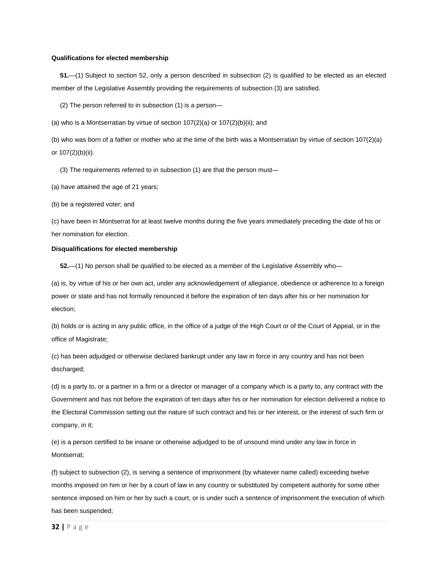#### **Qualifications for elected membership**

**51.**—(1) Subject to section 52, only a person described in subsection (2) is qualified to be elected as an elected member of the Legislative Assembly providing the requirements of subsection (3) are satisfied.

(2) The person referred to in subsection (1) is a person—

(a) who is a Montserratian by virtue of section 107(2)(a) or 107(2)(b)(ii); and

(b) who was born of a father or mother who at the time of the birth was a Montserratian by virtue of section 107(2)(a) or 107(2)(b)(ii).

(3) The requirements referred to in subsection (1) are that the person must—

(a) have attained the age of 21 years;

(b) be a registered voter; and

(c) have been in Montserrat for at least twelve months during the five years immediately preceding the date of his or her nomination for election.

#### **Disqualifications for elected membership**

**52.**—(1) No person shall be qualified to be elected as a member of the Legislative Assembly who—

(a) is, by virtue of his or her own act, under any acknowledgement of allegiance, obedience or adherence to a foreign power or state and has not formally renounced it before the expiration of ten days after his or her nomination for election;

(b) holds or is acting in any public office, in the office of a judge of the High Court or of the Court of Appeal, or in the office of Magistrate;

(c) has been adjudged or otherwise declared bankrupt under any law in force in any country and has not been discharged;

(d) is a party to, or a partner in a firm or a director or manager of a company which is a party to, any contract with the Government and has not before the expiration of ten days after his or her nomination for election delivered a notice to the Electoral Commission setting out the nature of such contract and his or her interest, or the interest of such firm or company, in it;

(e) is a person certified to be insane or otherwise adjudged to be of unsound mind under any law in force in Montserrat;

(f) subject to subsection (2), is serving a sentence of imprisonment (by whatever name called) exceeding twelve months imposed on him or her by a court of law in any country or substituted by competent authority for some other sentence imposed on him or her by such a court, or is under such a sentence of imprisonment the execution of which has been suspended;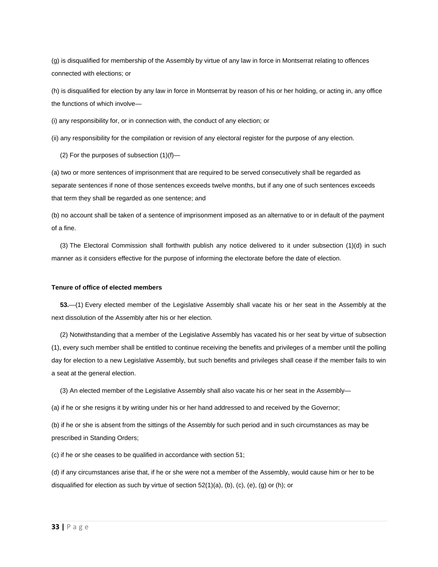(g) is disqualified for membership of the Assembly by virtue of any law in force in Montserrat relating to offences connected with elections; or

(h) is disqualified for election by any law in force in Montserrat by reason of his or her holding, or acting in, any office the functions of which involve—

(i) any responsibility for, or in connection with, the conduct of any election; or

(ii) any responsibility for the compilation or revision of any electoral register for the purpose of any election.

(2) For the purposes of subsection  $(1)(f)$ —

(a) two or more sentences of imprisonment that are required to be served consecutively shall be regarded as separate sentences if none of those sentences exceeds twelve months, but if any one of such sentences exceeds that term they shall be regarded as one sentence; and

(b) no account shall be taken of a sentence of imprisonment imposed as an alternative to or in default of the payment of a fine.

(3) The Electoral Commission shall forthwith publish any notice delivered to it under subsection (1)(d) in such manner as it considers effective for the purpose of informing the electorate before the date of election.

#### **Tenure of office of elected members**

**53.**—(1) Every elected member of the Legislative Assembly shall vacate his or her seat in the Assembly at the next dissolution of the Assembly after his or her election.

(2) Notwithstanding that a member of the Legislative Assembly has vacated his or her seat by virtue of subsection (1), every such member shall be entitled to continue receiving the benefits and privileges of a member until the polling day for election to a new Legislative Assembly, but such benefits and privileges shall cease if the member fails to win a seat at the general election.

(3) An elected member of the Legislative Assembly shall also vacate his or her seat in the Assembly—

(a) if he or she resigns it by writing under his or her hand addressed to and received by the Governor;

(b) if he or she is absent from the sittings of the Assembly for such period and in such circumstances as may be prescribed in Standing Orders;

(c) if he or she ceases to be qualified in accordance with section 51;

(d) if any circumstances arise that, if he or she were not a member of the Assembly, would cause him or her to be disqualified for election as such by virtue of section  $52(1)(a)$ ,  $(b)$ ,  $(c)$ ,  $(e)$ ,  $(q)$  or  $(h)$ ; or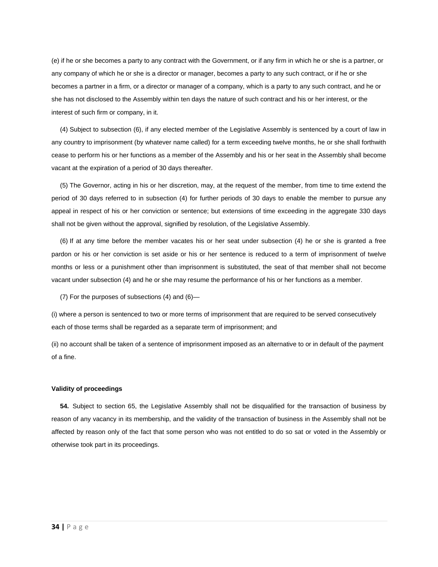(e) if he or she becomes a party to any contract with the Government, or if any firm in which he or she is a partner, or any company of which he or she is a director or manager, becomes a party to any such contract, or if he or she becomes a partner in a firm, or a director or manager of a company, which is a party to any such contract, and he or she has not disclosed to the Assembly within ten days the nature of such contract and his or her interest, or the interest of such firm or company, in it.

(4) Subject to subsection (6), if any elected member of the Legislative Assembly is sentenced by a court of law in any country to imprisonment (by whatever name called) for a term exceeding twelve months, he or she shall forthwith cease to perform his or her functions as a member of the Assembly and his or her seat in the Assembly shall become vacant at the expiration of a period of 30 days thereafter.

(5) The Governor, acting in his or her discretion, may, at the request of the member, from time to time extend the period of 30 days referred to in subsection (4) for further periods of 30 days to enable the member to pursue any appeal in respect of his or her conviction or sentence; but extensions of time exceeding in the aggregate 330 days shall not be given without the approval, signified by resolution, of the Legislative Assembly.

(6) If at any time before the member vacates his or her seat under subsection (4) he or she is granted a free pardon or his or her conviction is set aside or his or her sentence is reduced to a term of imprisonment of twelve months or less or a punishment other than imprisonment is substituted, the seat of that member shall not become vacant under subsection (4) and he or she may resume the performance of his or her functions as a member.

(7) For the purposes of subsections (4) and (6)—

(i) where a person is sentenced to two or more terms of imprisonment that are required to be served consecutively each of those terms shall be regarded as a separate term of imprisonment; and

(ii) no account shall be taken of a sentence of imprisonment imposed as an alternative to or in default of the payment of a fine.

#### **Validity of proceedings**

**54.** Subject to section 65, the Legislative Assembly shall not be disqualified for the transaction of business by reason of any vacancy in its membership, and the validity of the transaction of business in the Assembly shall not be affected by reason only of the fact that some person who was not entitled to do so sat or voted in the Assembly or otherwise took part in its proceedings.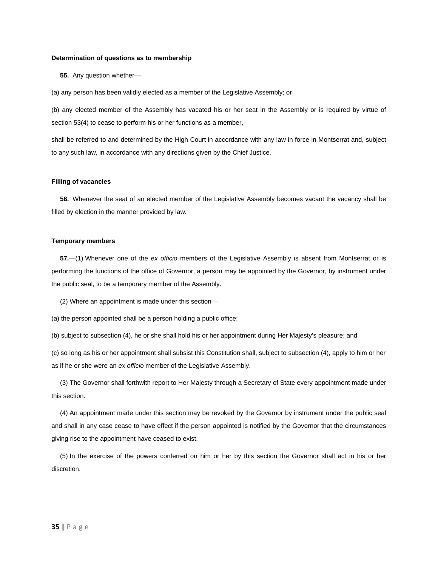#### **Determination of questions as to membership**

**55.** Any question whether—

(a) any person has been validly elected as a member of the Legislative Assembly; or

(b) any elected member of the Assembly has vacated his or her seat in the Assembly or is required by virtue of section 53(4) to cease to perform his or her functions as a member,

shall be referred to and determined by the High Court in accordance with any law in force in Montserrat and, subject to any such law, in accordance with any directions given by the Chief Justice.

#### **Filling of vacancies**

**56.** Whenever the seat of an elected member of the Legislative Assembly becomes vacant the vacancy shall be filled by election in the manner provided by law.

#### **Temporary members**

**57.**—(1) Whenever one of the *ex officio* members of the Legislative Assembly is absent from Montserrat or is performing the functions of the office of Governor, a person may be appointed by the Governor, by instrument under the public seal, to be a temporary member of the Assembly.

(2) Where an appointment is made under this section—

(a) the person appointed shall be a person holding a public office;

(b) subject to subsection (4), he or she shall hold his or her appointment during Her Majesty's pleasure; and

(c) so long as his or her appointment shall subsist this Constitution shall, subject to subsection (4), apply to him or her as if he or she were an *ex officio* member of the Legislative Assembly.

(3) The Governor shall forthwith report to Her Majesty through a Secretary of State every appointment made under this section.

(4) An appointment made under this section may be revoked by the Governor by instrument under the public seal and shall in any case cease to have effect if the person appointed is notified by the Governor that the circumstances giving rise to the appointment have ceased to exist.

(5) In the exercise of the powers conferred on him or her by this section the Governor shall act in his or her discretion.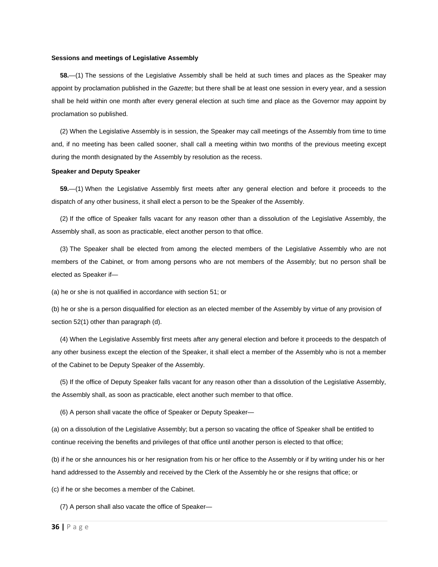#### **Sessions and meetings of Legislative Assembly**

**58.**—(1) The sessions of the Legislative Assembly shall be held at such times and places as the Speaker may appoint by proclamation published in the *Gazette*; but there shall be at least one session in every year, and a session shall be held within one month after every general election at such time and place as the Governor may appoint by proclamation so published.

(2) When the Legislative Assembly is in session, the Speaker may call meetings of the Assembly from time to time and, if no meeting has been called sooner, shall call a meeting within two months of the previous meeting except during the month designated by the Assembly by resolution as the recess.

#### **Speaker and Deputy Speaker**

**59.**—(1) When the Legislative Assembly first meets after any general election and before it proceeds to the dispatch of any other business, it shall elect a person to be the Speaker of the Assembly.

(2) If the office of Speaker falls vacant for any reason other than a dissolution of the Legislative Assembly, the Assembly shall, as soon as practicable, elect another person to that office.

(3) The Speaker shall be elected from among the elected members of the Legislative Assembly who are not members of the Cabinet, or from among persons who are not members of the Assembly; but no person shall be elected as Speaker if—

(a) he or she is not qualified in accordance with section 51; or

(b) he or she is a person disqualified for election as an elected member of the Assembly by virtue of any provision of section 52(1) other than paragraph (d).

(4) When the Legislative Assembly first meets after any general election and before it proceeds to the despatch of any other business except the election of the Speaker, it shall elect a member of the Assembly who is not a member of the Cabinet to be Deputy Speaker of the Assembly.

(5) If the office of Deputy Speaker falls vacant for any reason other than a dissolution of the Legislative Assembly, the Assembly shall, as soon as practicable, elect another such member to that office.

(6) A person shall vacate the office of Speaker or Deputy Speaker—

(a) on a dissolution of the Legislative Assembly; but a person so vacating the office of Speaker shall be entitled to continue receiving the benefits and privileges of that office until another person is elected to that office;

(b) if he or she announces his or her resignation from his or her office to the Assembly or if by writing under his or her hand addressed to the Assembly and received by the Clerk of the Assembly he or she resigns that office; or

(c) if he or she becomes a member of the Cabinet.

(7) A person shall also vacate the office of Speaker—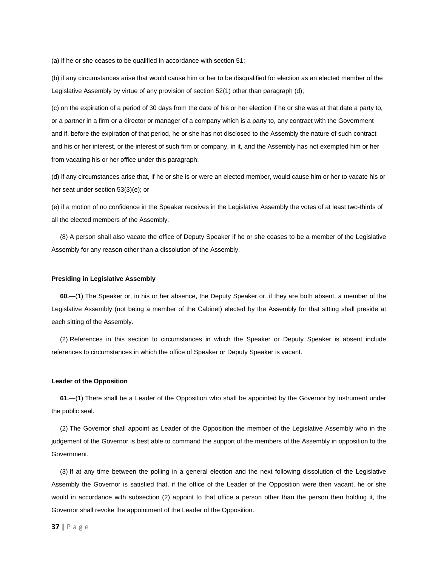(a) if he or she ceases to be qualified in accordance with section 51;

(b) if any circumstances arise that would cause him or her to be disqualified for election as an elected member of the Legislative Assembly by virtue of any provision of section 52(1) other than paragraph (d);

(c) on the expiration of a period of 30 days from the date of his or her election if he or she was at that date a party to, or a partner in a firm or a director or manager of a company which is a party to, any contract with the Government and if, before the expiration of that period, he or she has not disclosed to the Assembly the nature of such contract and his or her interest, or the interest of such firm or company, in it, and the Assembly has not exempted him or her from vacating his or her office under this paragraph:

(d) if any circumstances arise that, if he or she is or were an elected member, would cause him or her to vacate his or her seat under section 53(3)(e); or

(e) if a motion of no confidence in the Speaker receives in the Legislative Assembly the votes of at least two-thirds of all the elected members of the Assembly.

(8) A person shall also vacate the office of Deputy Speaker if he or she ceases to be a member of the Legislative Assembly for any reason other than a dissolution of the Assembly.

#### **Presiding in Legislative Assembly**

**60.**—(1) The Speaker or, in his or her absence, the Deputy Speaker or, if they are both absent, a member of the Legislative Assembly (not being a member of the Cabinet) elected by the Assembly for that sitting shall preside at each sitting of the Assembly.

(2) References in this section to circumstances in which the Speaker or Deputy Speaker is absent include references to circumstances in which the office of Speaker or Deputy Speaker is vacant.

#### **Leader of the Opposition**

**61.**—(1) There shall be a Leader of the Opposition who shall be appointed by the Governor by instrument under the public seal.

(2) The Governor shall appoint as Leader of the Opposition the member of the Legislative Assembly who in the judgement of the Governor is best able to command the support of the members of the Assembly in opposition to the Government.

(3) If at any time between the polling in a general election and the next following dissolution of the Legislative Assembly the Governor is satisfied that, if the office of the Leader of the Opposition were then vacant, he or she would in accordance with subsection (2) appoint to that office a person other than the person then holding it, the Governor shall revoke the appointment of the Leader of the Opposition.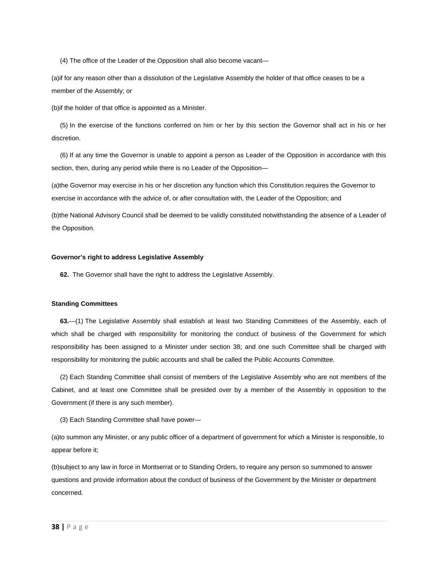(4) The office of the Leader of the Opposition shall also become vacant—

(a)if for any reason other than a dissolution of the Legislative Assembly the holder of that office ceases to be a member of the Assembly; or

(b)if the holder of that office is appointed as a Minister.

(5) In the exercise of the functions conferred on him or her by this section the Governor shall act in his or her discretion.

(6) If at any time the Governor is unable to appoint a person as Leader of the Opposition in accordance with this section, then, during any period while there is no Leader of the Opposition—

(a)the Governor may exercise in his or her discretion any function which this Constitution requires the Governor to exercise in accordance with the advice of, or after consultation with, the Leader of the Opposition; and

(b)the National Advisory Council shall be deemed to be validly constituted notwithstanding the absence of a Leader of the Opposition.

#### **Governor's right to address Legislative Assembly**

**62.** The Governor shall have the right to address the Legislative Assembly.

#### **Standing Committees**

**63.**—(1) The Legislative Assembly shall establish at least two Standing Committees of the Assembly, each of which shall be charged with responsibility for monitoring the conduct of business of the Government for which responsibility has been assigned to a Minister under section 38; and one such Committee shall be charged with responsibility for monitoring the public accounts and shall be called the Public Accounts Committee.

(2) Each Standing Committee shall consist of members of the Legislative Assembly who are not members of the Cabinet, and at least one Committee shall be presided over by a member of the Assembly in opposition to the Government (if there is any such member).

(3) Each Standing Committee shall have power—

(a)to summon any Minister, or any public officer of a department of government for which a Minister is responsible, to appear before it;

(b)subject to any law in force in Montserrat or to Standing Orders, to require any person so summoned to answer questions and provide information about the conduct of business of the Government by the Minister or department concerned.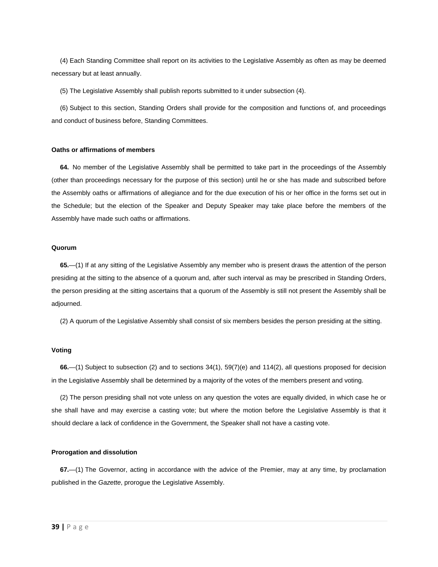(4) Each Standing Committee shall report on its activities to the Legislative Assembly as often as may be deemed necessary but at least annually.

(5) The Legislative Assembly shall publish reports submitted to it under subsection (4).

(6) Subject to this section, Standing Orders shall provide for the composition and functions of, and proceedings and conduct of business before, Standing Committees.

#### **Oaths or affirmations of members**

**64.** No member of the Legislative Assembly shall be permitted to take part in the proceedings of the Assembly (other than proceedings necessary for the purpose of this section) until he or she has made and subscribed before the Assembly oaths or affirmations of allegiance and for the due execution of his or her office in the forms set out in the Schedule; but the election of the Speaker and Deputy Speaker may take place before the members of the Assembly have made such oaths or affirmations.

#### **Quorum**

**65.**—(1) If at any sitting of the Legislative Assembly any member who is present draws the attention of the person presiding at the sitting to the absence of a quorum and, after such interval as may be prescribed in Standing Orders, the person presiding at the sitting ascertains that a quorum of the Assembly is still not present the Assembly shall be adjourned.

(2) A quorum of the Legislative Assembly shall consist of six members besides the person presiding at the sitting.

#### **Voting**

**66.**—(1) Subject to subsection (2) and to sections 34(1), 59(7)(e) and 114(2), all questions proposed for decision in the Legislative Assembly shall be determined by a majority of the votes of the members present and voting.

(2) The person presiding shall not vote unless on any question the votes are equally divided, in which case he or she shall have and may exercise a casting vote; but where the motion before the Legislative Assembly is that it should declare a lack of confidence in the Government, the Speaker shall not have a casting vote.

#### **Prorogation and dissolution**

**67.**—(1) The Governor, acting in accordance with the advice of the Premier, may at any time, by proclamation published in the *Gazette*, prorogue the Legislative Assembly.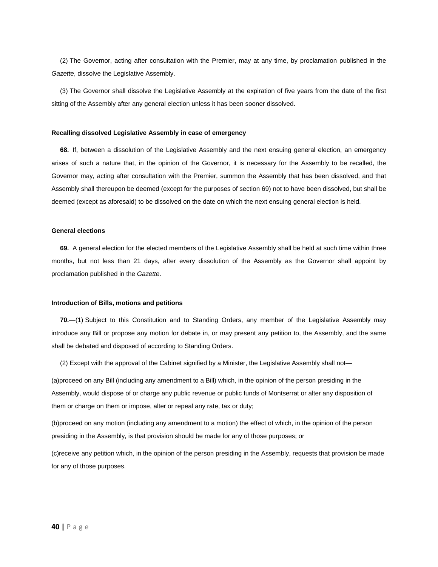(2) The Governor, acting after consultation with the Premier, may at any time, by proclamation published in the *Gazette*, dissolve the Legislative Assembly.

(3) The Governor shall dissolve the Legislative Assembly at the expiration of five years from the date of the first sitting of the Assembly after any general election unless it has been sooner dissolved.

#### **Recalling dissolved Legislative Assembly in case of emergency**

**68.** If, between a dissolution of the Legislative Assembly and the next ensuing general election, an emergency arises of such a nature that, in the opinion of the Governor, it is necessary for the Assembly to be recalled, the Governor may, acting after consultation with the Premier, summon the Assembly that has been dissolved, and that Assembly shall thereupon be deemed (except for the purposes of section 69) not to have been dissolved, but shall be deemed (except as aforesaid) to be dissolved on the date on which the next ensuing general election is held.

#### **General elections**

**69.** A general election for the elected members of the Legislative Assembly shall be held at such time within three months, but not less than 21 days, after every dissolution of the Assembly as the Governor shall appoint by proclamation published in the *Gazette*.

#### **Introduction of Bills, motions and petitions**

**70.**—(1) Subject to this Constitution and to Standing Orders, any member of the Legislative Assembly may introduce any Bill or propose any motion for debate in, or may present any petition to, the Assembly, and the same shall be debated and disposed of according to Standing Orders.

(2) Except with the approval of the Cabinet signified by a Minister, the Legislative Assembly shall not—

(a)proceed on any Bill (including any amendment to a Bill) which, in the opinion of the person presiding in the Assembly, would dispose of or charge any public revenue or public funds of Montserrat or alter any disposition of them or charge on them or impose, alter or repeal any rate, tax or duty;

(b)proceed on any motion (including any amendment to a motion) the effect of which, in the opinion of the person presiding in the Assembly, is that provision should be made for any of those purposes; or

(c)receive any petition which, in the opinion of the person presiding in the Assembly, requests that provision be made for any of those purposes.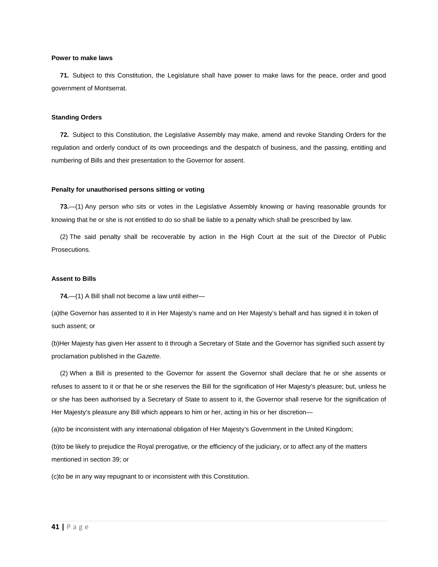#### **Power to make laws**

**71.** Subject to this Constitution, the Legislature shall have power to make laws for the peace, order and good government of Montserrat.

## **Standing Orders**

**72.** Subject to this Constitution, the Legislative Assembly may make, amend and revoke Standing Orders for the regulation and orderly conduct of its own proceedings and the despatch of business, and the passing, entitling and numbering of Bills and their presentation to the Governor for assent.

#### **Penalty for unauthorised persons sitting or voting**

**73.**—(1) Any person who sits or votes in the Legislative Assembly knowing or having reasonable grounds for knowing that he or she is not entitled to do so shall be liable to a penalty which shall be prescribed by law.

(2) The said penalty shall be recoverable by action in the High Court at the suit of the Director of Public Prosecutions.

#### **Assent to Bills**

**74.**—(1) A Bill shall not become a law until either—

(a)the Governor has assented to it in Her Majesty's name and on Her Majesty's behalf and has signed it in token of such assent; or

(b)Her Majesty has given Her assent to it through a Secretary of State and the Governor has signified such assent by proclamation published in the *Gazette.*

(2) When a Bill is presented to the Governor for assent the Governor shall declare that he or she assents or refuses to assent to it or that he or she reserves the Bill for the signification of Her Majesty's pleasure; but, unless he or she has been authorised by a Secretary of State to assent to it, the Governor shall reserve for the signification of Her Majesty's pleasure any Bill which appears to him or her, acting in his or her discretion—

(a)to be inconsistent with any international obligation of Her Majesty's Government in the United Kingdom;

(b)to be likely to prejudice the Royal prerogative, or the efficiency of the judiciary, or to affect any of the matters mentioned in section 39; or

(c)to be in any way repugnant to or inconsistent with this Constitution.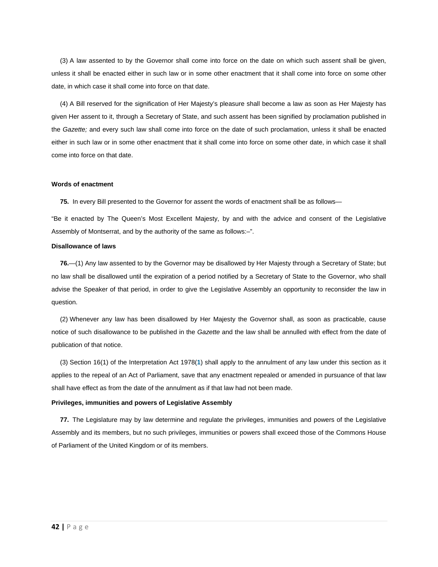(3) A law assented to by the Governor shall come into force on the date on which such assent shall be given, unless it shall be enacted either in such law or in some other enactment that it shall come into force on some other date, in which case it shall come into force on that date.

(4) A Bill reserved for the signification of Her Majesty's pleasure shall become a law as soon as Her Majesty has given Her assent to it, through a Secretary of State, and such assent has been signified by proclamation published in the *Gazette;* and every such law shall come into force on the date of such proclamation, unless it shall be enacted either in such law or in some other enactment that it shall come into force on some other date, in which case it shall come into force on that date.

## **Words of enactment**

**75.** In every Bill presented to the Governor for assent the words of enactment shall be as follows—

"Be it enacted by The Queen's Most Excellent Majesty, by and with the advice and consent of the Legislative Assembly of Montserrat, and by the authority of the same as follows:–".

#### **Disallowance of laws**

**76.**—(1) Any law assented to by the Governor may be disallowed by Her Majesty through a Secretary of State; but no law shall be disallowed until the expiration of a period notified by a Secretary of State to the Governor, who shall advise the Speaker of that period, in order to give the Legislative Assembly an opportunity to reconsider the law in question.

(2) Whenever any law has been disallowed by Her Majesty the Governor shall, as soon as practicable, cause notice of such disallowance to be published in the *Gazette* and the law shall be annulled with effect from the date of publication of that notice.

(3) Section 16(1) of the Interpretation Act 1978(**1**) shall apply to the annulment of any law under this section as it applies to the repeal of an Act of Parliament, save that any enactment repealed or amended in pursuance of that law shall have effect as from the date of the annulment as if that law had not been made.

#### **Privileges, immunities and powers of Legislative Assembly**

**77.** The Legislature may by law determine and regulate the privileges, immunities and powers of the Legislative Assembly and its members, but no such privileges, immunities or powers shall exceed those of the Commons House of Parliament of the United Kingdom or of its members.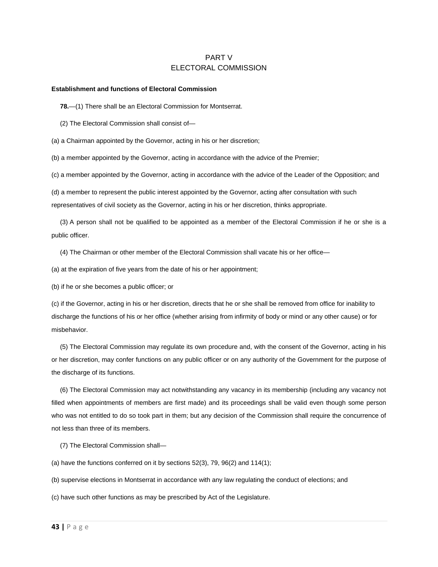## PART V ELECTORAL COMMISSION

#### **Establishment and functions of Electoral Commission**

**78.**—(1) There shall be an Electoral Commission for Montserrat.

(2) The Electoral Commission shall consist of—

(a) a Chairman appointed by the Governor, acting in his or her discretion;

(b) a member appointed by the Governor, acting in accordance with the advice of the Premier;

(c) a member appointed by the Governor, acting in accordance with the advice of the Leader of the Opposition; and

(d) a member to represent the public interest appointed by the Governor, acting after consultation with such representatives of civil society as the Governor, acting in his or her discretion, thinks appropriate.

(3) A person shall not be qualified to be appointed as a member of the Electoral Commission if he or she is a public officer.

(4) The Chairman or other member of the Electoral Commission shall vacate his or her office—

(a) at the expiration of five years from the date of his or her appointment;

(b) if he or she becomes a public officer; or

(c) if the Governor, acting in his or her discretion, directs that he or she shall be removed from office for inability to discharge the functions of his or her office (whether arising from infirmity of body or mind or any other cause) or for misbehavior.

(5) The Electoral Commission may regulate its own procedure and, with the consent of the Governor, acting in his or her discretion, may confer functions on any public officer or on any authority of the Government for the purpose of the discharge of its functions.

(6) The Electoral Commission may act notwithstanding any vacancy in its membership (including any vacancy not filled when appointments of members are first made) and its proceedings shall be valid even though some person who was not entitled to do so took part in them; but any decision of the Commission shall require the concurrence of not less than three of its members.

(7) The Electoral Commission shall—

(a) have the functions conferred on it by sections 52(3), 79, 96(2) and 114(1);

(b) supervise elections in Montserrat in accordance with any law regulating the conduct of elections; and

(c) have such other functions as may be prescribed by Act of the Legislature.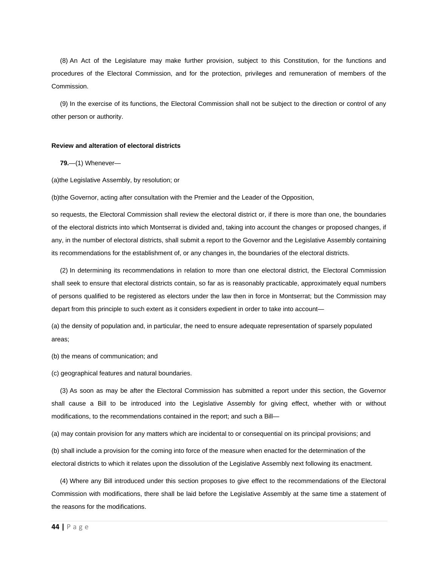(8) An Act of the Legislature may make further provision, subject to this Constitution, for the functions and procedures of the Electoral Commission, and for the protection, privileges and remuneration of members of the Commission.

(9) In the exercise of its functions, the Electoral Commission shall not be subject to the direction or control of any other person or authority.

#### **Review and alteration of electoral districts**

**79.**—(1) Whenever—

(a)the Legislative Assembly, by resolution; or

(b)the Governor, acting after consultation with the Premier and the Leader of the Opposition,

so requests, the Electoral Commission shall review the electoral district or, if there is more than one, the boundaries of the electoral districts into which Montserrat is divided and, taking into account the changes or proposed changes, if any, in the number of electoral districts, shall submit a report to the Governor and the Legislative Assembly containing its recommendations for the establishment of, or any changes in, the boundaries of the electoral districts.

(2) In determining its recommendations in relation to more than one electoral district, the Electoral Commission shall seek to ensure that electoral districts contain, so far as is reasonably practicable, approximately equal numbers of persons qualified to be registered as electors under the law then in force in Montserrat; but the Commission may depart from this principle to such extent as it considers expedient in order to take into account—

(a) the density of population and, in particular, the need to ensure adequate representation of sparsely populated areas;

(b) the means of communication; and

(c) geographical features and natural boundaries.

(3) As soon as may be after the Electoral Commission has submitted a report under this section, the Governor shall cause a Bill to be introduced into the Legislative Assembly for giving effect, whether with or without modifications, to the recommendations contained in the report; and such a Bill—

(a) may contain provision for any matters which are incidental to or consequential on its principal provisions; and

(b) shall include a provision for the coming into force of the measure when enacted for the determination of the electoral districts to which it relates upon the dissolution of the Legislative Assembly next following its enactment.

(4) Where any Bill introduced under this section proposes to give effect to the recommendations of the Electoral Commission with modifications, there shall be laid before the Legislative Assembly at the same time a statement of the reasons for the modifications.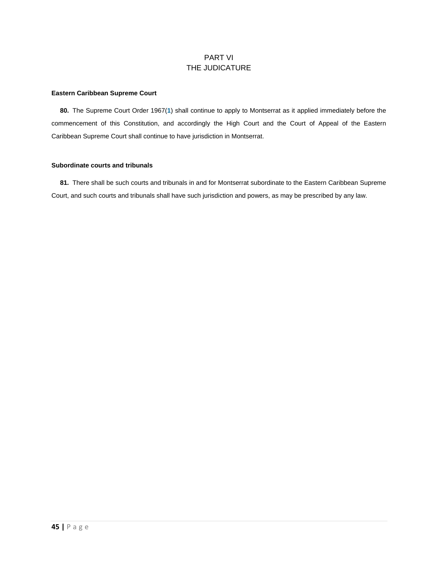## PART VI THE JUDICATURE

### **Eastern Caribbean Supreme Court**

**80.** The Supreme Court Order 1967(**1**) shall continue to apply to Montserrat as it applied immediately before the commencement of this Constitution, and accordingly the High Court and the Court of Appeal of the Eastern Caribbean Supreme Court shall continue to have jurisdiction in Montserrat.

## **Subordinate courts and tribunals**

**81.** There shall be such courts and tribunals in and for Montserrat subordinate to the Eastern Caribbean Supreme Court, and such courts and tribunals shall have such jurisdiction and powers, as may be prescribed by any law.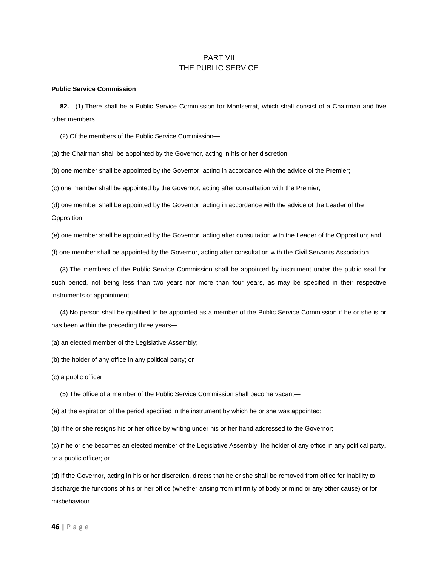## PART VII THE PUBLIC SERVICE

#### **Public Service Commission**

**82.**—(1) There shall be a Public Service Commission for Montserrat, which shall consist of a Chairman and five other members.

(2) Of the members of the Public Service Commission—

(a) the Chairman shall be appointed by the Governor, acting in his or her discretion;

(b) one member shall be appointed by the Governor, acting in accordance with the advice of the Premier;

(c) one member shall be appointed by the Governor, acting after consultation with the Premier;

(d) one member shall be appointed by the Governor, acting in accordance with the advice of the Leader of the Opposition;

(e) one member shall be appointed by the Governor, acting after consultation with the Leader of the Opposition; and

(f) one member shall be appointed by the Governor, acting after consultation with the Civil Servants Association.

(3) The members of the Public Service Commission shall be appointed by instrument under the public seal for such period, not being less than two years nor more than four years, as may be specified in their respective instruments of appointment.

(4) No person shall be qualified to be appointed as a member of the Public Service Commission if he or she is or has been within the preceding three years—

(a) an elected member of the Legislative Assembly;

(b) the holder of any office in any political party; or

(c) a public officer.

(5) The office of a member of the Public Service Commission shall become vacant—

(a) at the expiration of the period specified in the instrument by which he or she was appointed;

(b) if he or she resigns his or her office by writing under his or her hand addressed to the Governor;

(c) if he or she becomes an elected member of the Legislative Assembly, the holder of any office in any political party, or a public officer; or

(d) if the Governor, acting in his or her discretion, directs that he or she shall be removed from office for inability to discharge the functions of his or her office (whether arising from infirmity of body or mind or any other cause) or for misbehaviour.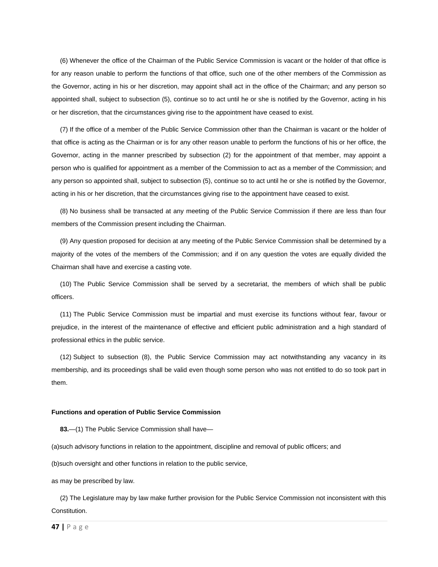(6) Whenever the office of the Chairman of the Public Service Commission is vacant or the holder of that office is for any reason unable to perform the functions of that office, such one of the other members of the Commission as the Governor, acting in his or her discretion, may appoint shall act in the office of the Chairman; and any person so appointed shall, subject to subsection (5), continue so to act until he or she is notified by the Governor, acting in his or her discretion, that the circumstances giving rise to the appointment have ceased to exist.

(7) If the office of a member of the Public Service Commission other than the Chairman is vacant or the holder of that office is acting as the Chairman or is for any other reason unable to perform the functions of his or her office, the Governor, acting in the manner prescribed by subsection (2) for the appointment of that member, may appoint a person who is qualified for appointment as a member of the Commission to act as a member of the Commission; and any person so appointed shall, subject to subsection (5), continue so to act until he or she is notified by the Governor, acting in his or her discretion, that the circumstances giving rise to the appointment have ceased to exist.

(8) No business shall be transacted at any meeting of the Public Service Commission if there are less than four members of the Commission present including the Chairman.

(9) Any question proposed for decision at any meeting of the Public Service Commission shall be determined by a majority of the votes of the members of the Commission; and if on any question the votes are equally divided the Chairman shall have and exercise a casting vote.

(10) The Public Service Commission shall be served by a secretariat, the members of which shall be public officers.

(11) The Public Service Commission must be impartial and must exercise its functions without fear, favour or prejudice, in the interest of the maintenance of effective and efficient public administration and a high standard of professional ethics in the public service.

(12) Subject to subsection (8), the Public Service Commission may act notwithstanding any vacancy in its membership, and its proceedings shall be valid even though some person who was not entitled to do so took part in them.

#### **Functions and operation of Public Service Commission**

**83.**—(1) The Public Service Commission shall have—

(a)such advisory functions in relation to the appointment, discipline and removal of public officers; and

(b)such oversight and other functions in relation to the public service,

as may be prescribed by law.

(2) The Legislature may by law make further provision for the Public Service Commission not inconsistent with this Constitution.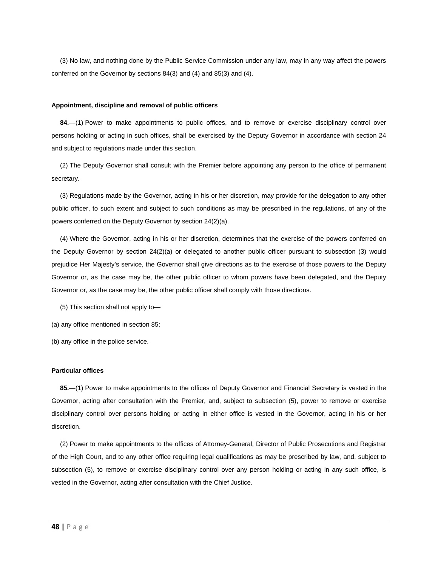(3) No law, and nothing done by the Public Service Commission under any law, may in any way affect the powers conferred on the Governor by sections 84(3) and (4) and 85(3) and (4).

#### **Appointment, discipline and removal of public officers**

**84.**—(1) Power to make appointments to public offices, and to remove or exercise disciplinary control over persons holding or acting in such offices, shall be exercised by the Deputy Governor in accordance with section 24 and subject to regulations made under this section.

(2) The Deputy Governor shall consult with the Premier before appointing any person to the office of permanent secretary.

(3) Regulations made by the Governor, acting in his or her discretion, may provide for the delegation to any other public officer, to such extent and subject to such conditions as may be prescribed in the regulations, of any of the powers conferred on the Deputy Governor by section 24(2)(a).

(4) Where the Governor, acting in his or her discretion, determines that the exercise of the powers conferred on the Deputy Governor by section 24(2)(a) or delegated to another public officer pursuant to subsection (3) would prejudice Her Majesty's service, the Governor shall give directions as to the exercise of those powers to the Deputy Governor or, as the case may be, the other public officer to whom powers have been delegated, and the Deputy Governor or, as the case may be, the other public officer shall comply with those directions.

(5) This section shall not apply to—

(a) any office mentioned in section 85;

(b) any office in the police service.

#### **Particular offices**

**85.**—(1) Power to make appointments to the offices of Deputy Governor and Financial Secretary is vested in the Governor, acting after consultation with the Premier, and, subject to subsection (5), power to remove or exercise disciplinary control over persons holding or acting in either office is vested in the Governor, acting in his or her discretion.

(2) Power to make appointments to the offices of Attorney-General, Director of Public Prosecutions and Registrar of the High Court, and to any other office requiring legal qualifications as may be prescribed by law, and, subject to subsection (5), to remove or exercise disciplinary control over any person holding or acting in any such office, is vested in the Governor, acting after consultation with the Chief Justice.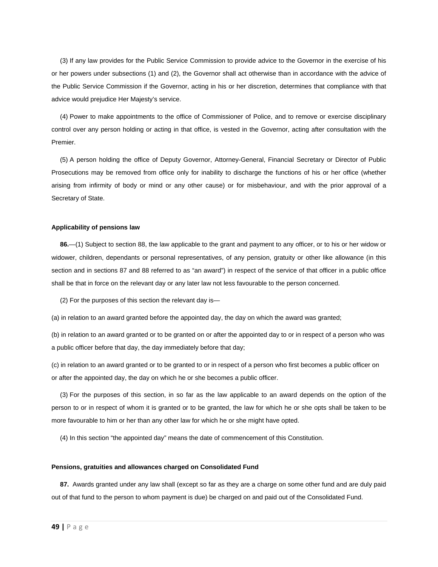(3) If any law provides for the Public Service Commission to provide advice to the Governor in the exercise of his or her powers under subsections (1) and (2), the Governor shall act otherwise than in accordance with the advice of the Public Service Commission if the Governor, acting in his or her discretion, determines that compliance with that advice would prejudice Her Majesty's service.

(4) Power to make appointments to the office of Commissioner of Police, and to remove or exercise disciplinary control over any person holding or acting in that office, is vested in the Governor, acting after consultation with the Premier.

(5) A person holding the office of Deputy Governor, Attorney-General, Financial Secretary or Director of Public Prosecutions may be removed from office only for inability to discharge the functions of his or her office (whether arising from infirmity of body or mind or any other cause) or for misbehaviour, and with the prior approval of a Secretary of State.

#### **Applicability of pensions law**

**86.**—(1) Subject to section 88, the law applicable to the grant and payment to any officer, or to his or her widow or widower, children, dependants or personal representatives, of any pension, gratuity or other like allowance (in this section and in sections 87 and 88 referred to as "an award") in respect of the service of that officer in a public office shall be that in force on the relevant day or any later law not less favourable to the person concerned.

(2) For the purposes of this section the relevant day is—

(a) in relation to an award granted before the appointed day, the day on which the award was granted;

(b) in relation to an award granted or to be granted on or after the appointed day to or in respect of a person who was a public officer before that day, the day immediately before that day;

(c) in relation to an award granted or to be granted to or in respect of a person who first becomes a public officer on or after the appointed day, the day on which he or she becomes a public officer.

(3) For the purposes of this section, in so far as the law applicable to an award depends on the option of the person to or in respect of whom it is granted or to be granted, the law for which he or she opts shall be taken to be more favourable to him or her than any other law for which he or she might have opted.

(4) In this section "the appointed day" means the date of commencement of this Constitution.

#### **Pensions, gratuities and allowances charged on Consolidated Fund**

**87.** Awards granted under any law shall (except so far as they are a charge on some other fund and are duly paid out of that fund to the person to whom payment is due) be charged on and paid out of the Consolidated Fund.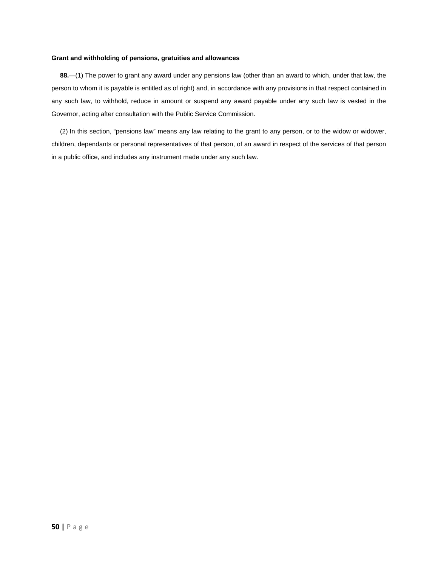#### **Grant and withholding of pensions, gratuities and allowances**

**88.**—(1) The power to grant any award under any pensions law (other than an award to which, under that law, the person to whom it is payable is entitled as of right) and, in accordance with any provisions in that respect contained in any such law, to withhold, reduce in amount or suspend any award payable under any such law is vested in the Governor, acting after consultation with the Public Service Commission.

(2) In this section, "pensions law" means any law relating to the grant to any person, or to the widow or widower, children, dependants or personal representatives of that person, of an award in respect of the services of that person in a public office, and includes any instrument made under any such law.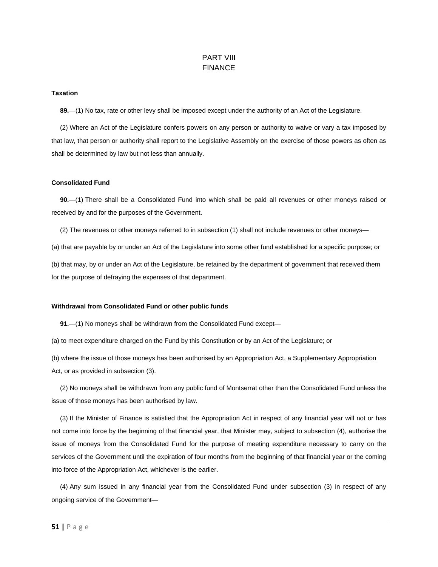## PART VIII FINANCE

#### **Taxation**

**89.**—(1) No tax, rate or other levy shall be imposed except under the authority of an Act of the Legislature.

(2) Where an Act of the Legislature confers powers on any person or authority to waive or vary a tax imposed by that law, that person or authority shall report to the Legislative Assembly on the exercise of those powers as often as shall be determined by law but not less than annually.

#### **Consolidated Fund**

**90.**—(1) There shall be a Consolidated Fund into which shall be paid all revenues or other moneys raised or received by and for the purposes of the Government.

(2) The revenues or other moneys referred to in subsection (1) shall not include revenues or other moneys—

(a) that are payable by or under an Act of the Legislature into some other fund established for a specific purpose; or

(b) that may, by or under an Act of the Legislature, be retained by the department of government that received them for the purpose of defraying the expenses of that department.

#### **Withdrawal from Consolidated Fund or other public funds**

**91.**—(1) No moneys shall be withdrawn from the Consolidated Fund except—

(a) to meet expenditure charged on the Fund by this Constitution or by an Act of the Legislature; or

(b) where the issue of those moneys has been authorised by an Appropriation Act, a Supplementary Appropriation Act, or as provided in subsection (3).

(2) No moneys shall be withdrawn from any public fund of Montserrat other than the Consolidated Fund unless the issue of those moneys has been authorised by law.

(3) If the Minister of Finance is satisfied that the Appropriation Act in respect of any financial year will not or has not come into force by the beginning of that financial year, that Minister may, subject to subsection (4), authorise the issue of moneys from the Consolidated Fund for the purpose of meeting expenditure necessary to carry on the services of the Government until the expiration of four months from the beginning of that financial year or the coming into force of the Appropriation Act, whichever is the earlier.

(4) Any sum issued in any financial year from the Consolidated Fund under subsection (3) in respect of any ongoing service of the Government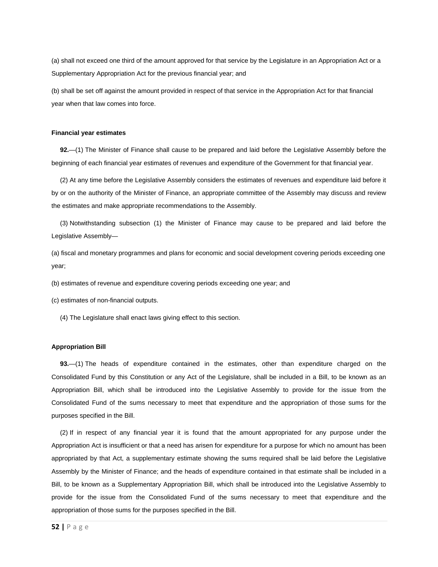(a) shall not exceed one third of the amount approved for that service by the Legislature in an Appropriation Act or a Supplementary Appropriation Act for the previous financial year; and

(b) shall be set off against the amount provided in respect of that service in the Appropriation Act for that financial year when that law comes into force.

#### **Financial year estimates**

**92.**—(1) The Minister of Finance shall cause to be prepared and laid before the Legislative Assembly before the beginning of each financial year estimates of revenues and expenditure of the Government for that financial year.

(2) At any time before the Legislative Assembly considers the estimates of revenues and expenditure laid before it by or on the authority of the Minister of Finance, an appropriate committee of the Assembly may discuss and review the estimates and make appropriate recommendations to the Assembly.

(3) Notwithstanding subsection (1) the Minister of Finance may cause to be prepared and laid before the Legislative Assembly—

(a) fiscal and monetary programmes and plans for economic and social development covering periods exceeding one year;

(b) estimates of revenue and expenditure covering periods exceeding one year; and

(c) estimates of non-financial outputs.

(4) The Legislature shall enact laws giving effect to this section.

#### **Appropriation Bill**

**93.**—(1) The heads of expenditure contained in the estimates, other than expenditure charged on the Consolidated Fund by this Constitution or any Act of the Legislature, shall be included in a Bill, to be known as an Appropriation Bill, which shall be introduced into the Legislative Assembly to provide for the issue from the Consolidated Fund of the sums necessary to meet that expenditure and the appropriation of those sums for the purposes specified in the Bill.

(2) If in respect of any financial year it is found that the amount appropriated for any purpose under the Appropriation Act is insufficient or that a need has arisen for expenditure for a purpose for which no amount has been appropriated by that Act, a supplementary estimate showing the sums required shall be laid before the Legislative Assembly by the Minister of Finance; and the heads of expenditure contained in that estimate shall be included in a Bill, to be known as a Supplementary Appropriation Bill, which shall be introduced into the Legislative Assembly to provide for the issue from the Consolidated Fund of the sums necessary to meet that expenditure and the appropriation of those sums for the purposes specified in the Bill.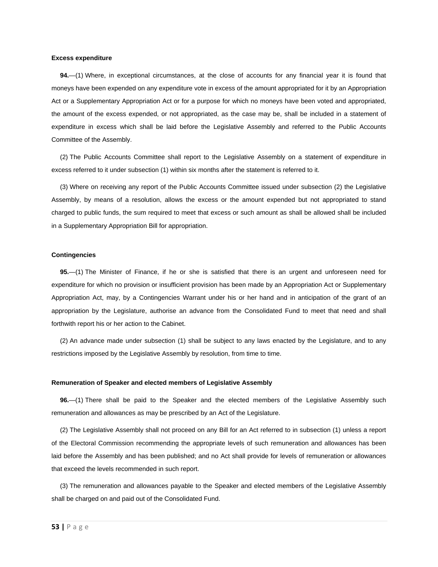#### **Excess expenditure**

**94.**—(1) Where, in exceptional circumstances, at the close of accounts for any financial year it is found that moneys have been expended on any expenditure vote in excess of the amount appropriated for it by an Appropriation Act or a Supplementary Appropriation Act or for a purpose for which no moneys have been voted and appropriated, the amount of the excess expended, or not appropriated, as the case may be, shall be included in a statement of expenditure in excess which shall be laid before the Legislative Assembly and referred to the Public Accounts Committee of the Assembly.

(2) The Public Accounts Committee shall report to the Legislative Assembly on a statement of expenditure in excess referred to it under subsection (1) within six months after the statement is referred to it.

(3) Where on receiving any report of the Public Accounts Committee issued under subsection (2) the Legislative Assembly, by means of a resolution, allows the excess or the amount expended but not appropriated to stand charged to public funds, the sum required to meet that excess or such amount as shall be allowed shall be included in a Supplementary Appropriation Bill for appropriation.

#### **Contingencies**

**95.**—(1) The Minister of Finance, if he or she is satisfied that there is an urgent and unforeseen need for expenditure for which no provision or insufficient provision has been made by an Appropriation Act or Supplementary Appropriation Act, may, by a Contingencies Warrant under his or her hand and in anticipation of the grant of an appropriation by the Legislature, authorise an advance from the Consolidated Fund to meet that need and shall forthwith report his or her action to the Cabinet.

(2) An advance made under subsection (1) shall be subject to any laws enacted by the Legislature, and to any restrictions imposed by the Legislative Assembly by resolution, from time to time.

#### **Remuneration of Speaker and elected members of Legislative Assembly**

**96.**—(1) There shall be paid to the Speaker and the elected members of the Legislative Assembly such remuneration and allowances as may be prescribed by an Act of the Legislature.

(2) The Legislative Assembly shall not proceed on any Bill for an Act referred to in subsection (1) unless a report of the Electoral Commission recommending the appropriate levels of such remuneration and allowances has been laid before the Assembly and has been published; and no Act shall provide for levels of remuneration or allowances that exceed the levels recommended in such report.

(3) The remuneration and allowances payable to the Speaker and elected members of the Legislative Assembly shall be charged on and paid out of the Consolidated Fund.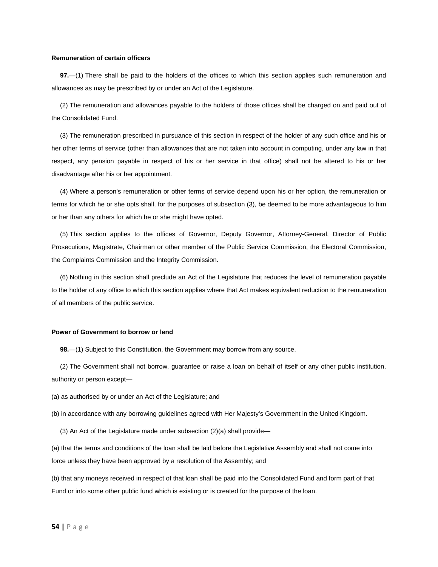#### **Remuneration of certain officers**

**97.**—(1) There shall be paid to the holders of the offices to which this section applies such remuneration and allowances as may be prescribed by or under an Act of the Legislature.

(2) The remuneration and allowances payable to the holders of those offices shall be charged on and paid out of the Consolidated Fund.

(3) The remuneration prescribed in pursuance of this section in respect of the holder of any such office and his or her other terms of service (other than allowances that are not taken into account in computing, under any law in that respect, any pension payable in respect of his or her service in that office) shall not be altered to his or her disadvantage after his or her appointment.

(4) Where a person's remuneration or other terms of service depend upon his or her option, the remuneration or terms for which he or she opts shall, for the purposes of subsection (3), be deemed to be more advantageous to him or her than any others for which he or she might have opted.

(5) This section applies to the offices of Governor, Deputy Governor, Attorney-General, Director of Public Prosecutions, Magistrate, Chairman or other member of the Public Service Commission, the Electoral Commission, the Complaints Commission and the Integrity Commission.

(6) Nothing in this section shall preclude an Act of the Legislature that reduces the level of remuneration payable to the holder of any office to which this section applies where that Act makes equivalent reduction to the remuneration of all members of the public service.

#### **Power of Government to borrow or lend**

**98.**—(1) Subject to this Constitution, the Government may borrow from any source.

(2) The Government shall not borrow, guarantee or raise a loan on behalf of itself or any other public institution, authority or person except—

(a) as authorised by or under an Act of the Legislature; and

(b) in accordance with any borrowing guidelines agreed with Her Majesty's Government in the United Kingdom.

(3) An Act of the Legislature made under subsection (2)(a) shall provide—

(a) that the terms and conditions of the loan shall be laid before the Legislative Assembly and shall not come into force unless they have been approved by a resolution of the Assembly; and

(b) that any moneys received in respect of that loan shall be paid into the Consolidated Fund and form part of that Fund or into some other public fund which is existing or is created for the purpose of the loan.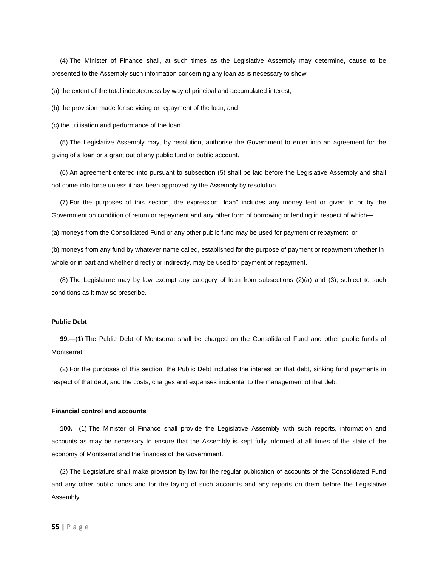(4) The Minister of Finance shall, at such times as the Legislative Assembly may determine, cause to be presented to the Assembly such information concerning any loan as is necessary to show—

(a) the extent of the total indebtedness by way of principal and accumulated interest;

(b) the provision made for servicing or repayment of the loan; and

(c) the utilisation and performance of the loan.

(5) The Legislative Assembly may, by resolution, authorise the Government to enter into an agreement for the giving of a loan or a grant out of any public fund or public account.

(6) An agreement entered into pursuant to subsection (5) shall be laid before the Legislative Assembly and shall not come into force unless it has been approved by the Assembly by resolution.

(7) For the purposes of this section, the expression "loan" includes any money lent or given to or by the Government on condition of return or repayment and any other form of borrowing or lending in respect of which—

(a) moneys from the Consolidated Fund or any other public fund may be used for payment or repayment; or

(b) moneys from any fund by whatever name called, established for the purpose of payment or repayment whether in whole or in part and whether directly or indirectly, may be used for payment or repayment.

(8) The Legislature may by law exempt any category of loan from subsections (2)(a) and (3), subject to such conditions as it may so prescribe.

#### **Public Debt**

**99.**—(1) The Public Debt of Montserrat shall be charged on the Consolidated Fund and other public funds of Montserrat.

(2) For the purposes of this section, the Public Debt includes the interest on that debt, sinking fund payments in respect of that debt, and the costs, charges and expenses incidental to the management of that debt.

#### **Financial control and accounts**

**100.**—(1) The Minister of Finance shall provide the Legislative Assembly with such reports, information and accounts as may be necessary to ensure that the Assembly is kept fully informed at all times of the state of the economy of Montserrat and the finances of the Government.

(2) The Legislature shall make provision by law for the regular publication of accounts of the Consolidated Fund and any other public funds and for the laying of such accounts and any reports on them before the Legislative Assembly.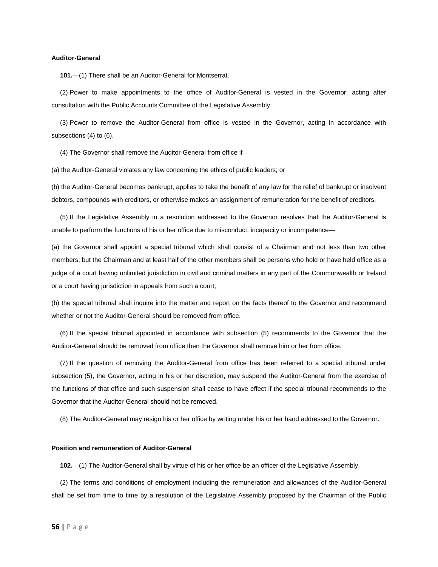#### **Auditor-General**

**101.**—(1) There shall be an Auditor-General for Montserrat.

(2) Power to make appointments to the office of Auditor-General is vested in the Governor, acting after consultation with the Public Accounts Committee of the Legislative Assembly.

(3) Power to remove the Auditor-General from office is vested in the Governor, acting in accordance with subsections (4) to (6).

(4) The Governor shall remove the Auditor-General from office if—

(a) the Auditor-General violates any law concerning the ethics of public leaders; or

(b) the Auditor-General becomes bankrupt, applies to take the benefit of any law for the relief of bankrupt or insolvent debtors, compounds with creditors, or otherwise makes an assignment of remuneration for the benefit of creditors.

(5) If the Legislative Assembly in a resolution addressed to the Governor resolves that the Auditor-General is unable to perform the functions of his or her office due to misconduct, incapacity or incompetence—

(a) the Governor shall appoint a special tribunal which shall consist of a Chairman and not less than two other members; but the Chairman and at least half of the other members shall be persons who hold or have held office as a judge of a court having unlimited jurisdiction in civil and criminal matters in any part of the Commonwealth or Ireland or a court having jurisdiction in appeals from such a court;

(b) the special tribunal shall inquire into the matter and report on the facts thereof to the Governor and recommend whether or not the Auditor-General should be removed from office.

(6) If the special tribunal appointed in accordance with subsection (5) recommends to the Governor that the Auditor-General should be removed from office then the Governor shall remove him or her from office.

(7) If the question of removing the Auditor-General from office has been referred to a special tribunal under subsection (5), the Governor, acting in his or her discretion, may suspend the Auditor-General from the exercise of the functions of that office and such suspension shall cease to have effect if the special tribunal recommends to the Governor that the Auditor-General should not be removed.

(8) The Auditor-General may resign his or her office by writing under his or her hand addressed to the Governor.

#### **Position and remuneration of Auditor-General**

**102.**—(1) The Auditor-General shall by virtue of his or her office be an officer of the Legislative Assembly.

(2) The terms and conditions of employment including the remuneration and allowances of the Auditor-General shall be set from time to time by a resolution of the Legislative Assembly proposed by the Chairman of the Public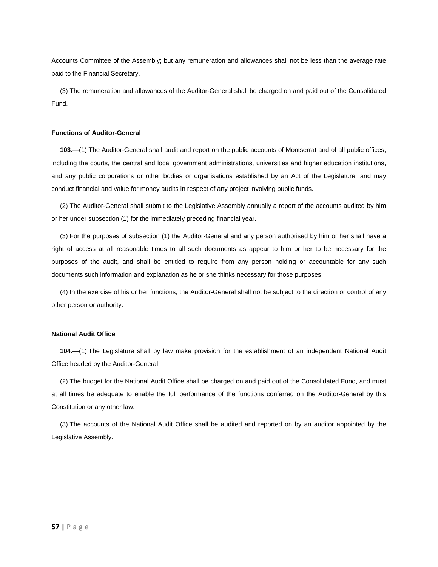Accounts Committee of the Assembly; but any remuneration and allowances shall not be less than the average rate paid to the Financial Secretary.

(3) The remuneration and allowances of the Auditor-General shall be charged on and paid out of the Consolidated Fund.

#### **Functions of Auditor-General**

**103.**—(1) The Auditor-General shall audit and report on the public accounts of Montserrat and of all public offices, including the courts, the central and local government administrations, universities and higher education institutions, and any public corporations or other bodies or organisations established by an Act of the Legislature, and may conduct financial and value for money audits in respect of any project involving public funds.

(2) The Auditor-General shall submit to the Legislative Assembly annually a report of the accounts audited by him or her under subsection (1) for the immediately preceding financial year.

(3) For the purposes of subsection (1) the Auditor-General and any person authorised by him or her shall have a right of access at all reasonable times to all such documents as appear to him or her to be necessary for the purposes of the audit, and shall be entitled to require from any person holding or accountable for any such documents such information and explanation as he or she thinks necessary for those purposes.

(4) In the exercise of his or her functions, the Auditor-General shall not be subject to the direction or control of any other person or authority.

#### **National Audit Office**

**104.**—(1) The Legislature shall by law make provision for the establishment of an independent National Audit Office headed by the Auditor-General.

(2) The budget for the National Audit Office shall be charged on and paid out of the Consolidated Fund, and must at all times be adequate to enable the full performance of the functions conferred on the Auditor-General by this Constitution or any other law.

(3) The accounts of the National Audit Office shall be audited and reported on by an auditor appointed by the Legislative Assembly.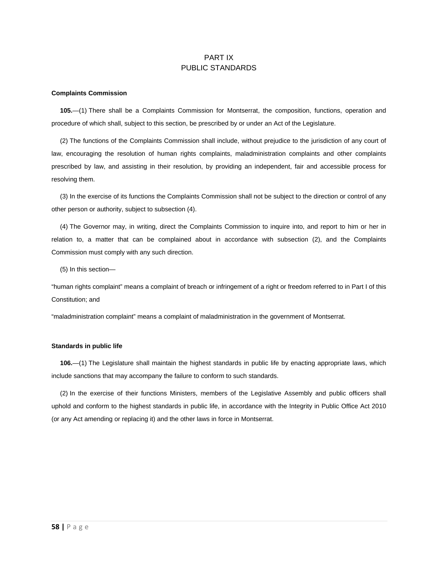## PART IX PUBLIC STANDARDS

#### **Complaints Commission**

**105.**—(1) There shall be a Complaints Commission for Montserrat, the composition, functions, operation and procedure of which shall, subject to this section, be prescribed by or under an Act of the Legislature.

(2) The functions of the Complaints Commission shall include, without prejudice to the jurisdiction of any court of law, encouraging the resolution of human rights complaints, maladministration complaints and other complaints prescribed by law, and assisting in their resolution, by providing an independent, fair and accessible process for resolving them.

(3) In the exercise of its functions the Complaints Commission shall not be subject to the direction or control of any other person or authority, subject to subsection (4).

(4) The Governor may, in writing, direct the Complaints Commission to inquire into, and report to him or her in relation to, a matter that can be complained about in accordance with subsection (2), and the Complaints Commission must comply with any such direction.

(5) In this section—

"human rights complaint" means a complaint of breach or infringement of a right or freedom referred to in Part I of this Constitution; and

"maladministration complaint" means a complaint of maladministration in the government of Montserrat.

#### **Standards in public life**

**106.**—(1) The Legislature shall maintain the highest standards in public life by enacting appropriate laws, which include sanctions that may accompany the failure to conform to such standards.

(2) In the exercise of their functions Ministers, members of the Legislative Assembly and public officers shall uphold and conform to the highest standards in public life, in accordance with the Integrity in Public Office Act 2010 (or any Act amending or replacing it) and the other laws in force in Montserrat.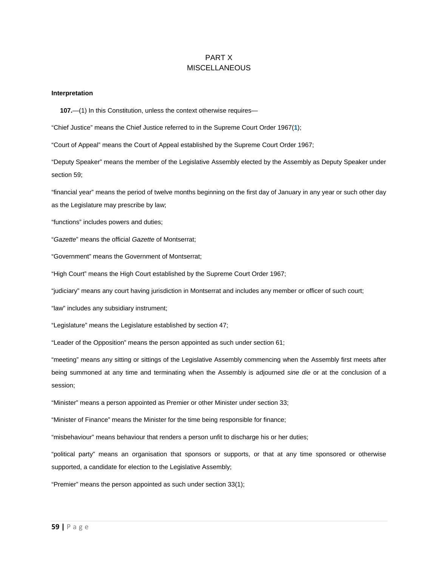## PART X **MISCELLANEOUS**

#### **Interpretation**

**107.**—(1) In this Constitution, unless the context otherwise requires—

"Chief Justice" means the Chief Justice referred to in the Supreme Court Order 1967(**1**);

"Court of Appeal" means the Court of Appeal established by the Supreme Court Order 1967;

"Deputy Speaker" means the member of the Legislative Assembly elected by the Assembly as Deputy Speaker under section 59;

"financial year" means the period of twelve months beginning on the first day of January in any year or such other day as the Legislature may prescribe by law;

"functions" includes powers and duties;

"*Gazette*" means the official *Gazette* of Montserrat;

"Government" means the Government of Montserrat;

"High Court" means the High Court established by the Supreme Court Order 1967;

"judiciary" means any court having jurisdiction in Montserrat and includes any member or officer of such court;

"law" includes any subsidiary instrument;

"Legislature" means the Legislature established by section 47;

"Leader of the Opposition" means the person appointed as such under section 61;

"meeting" means any sitting or sittings of the Legislative Assembly commencing when the Assembly first meets after being summoned at any time and terminating when the Assembly is adjourned *sine die* or at the conclusion of a session;

"Minister" means a person appointed as Premier or other Minister under section 33;

"Minister of Finance" means the Minister for the time being responsible for finance;

"misbehaviour" means behaviour that renders a person unfit to discharge his or her duties;

"political party" means an organisation that sponsors or supports, or that at any time sponsored or otherwise supported, a candidate for election to the Legislative Assembly;

"Premier" means the person appointed as such under section 33(1);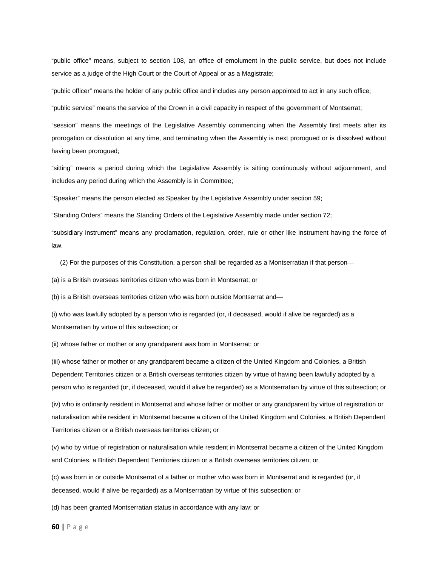"public office" means, subject to section 108, an office of emolument in the public service, but does not include service as a judge of the High Court or the Court of Appeal or as a Magistrate;

"public officer" means the holder of any public office and includes any person appointed to act in any such office;

"public service" means the service of the Crown in a civil capacity in respect of the government of Montserrat;

"session" means the meetings of the Legislative Assembly commencing when the Assembly first meets after its prorogation or dissolution at any time, and terminating when the Assembly is next prorogued or is dissolved without having been prorogued;

"sitting" means a period during which the Legislative Assembly is sitting continuously without adjournment, and includes any period during which the Assembly is in Committee;

"Speaker" means the person elected as Speaker by the Legislative Assembly under section 59;

"Standing Orders" means the Standing Orders of the Legislative Assembly made under section 72;

"subsidiary instrument" means any proclamation, regulation, order, rule or other like instrument having the force of law.

(2) For the purposes of this Constitution, a person shall be regarded as a Montserratian if that person—

(a) is a British overseas territories citizen who was born in Montserrat; or

(b) is a British overseas territories citizen who was born outside Montserrat and—

(i) who was lawfully adopted by a person who is regarded (or, if deceased, would if alive be regarded) as a Montserratian by virtue of this subsection; or

(ii) whose father or mother or any grandparent was born in Montserrat; or

(iii) whose father or mother or any grandparent became a citizen of the United Kingdom and Colonies, a British Dependent Territories citizen or a British overseas territories citizen by virtue of having been lawfully adopted by a person who is regarded (or, if deceased, would if alive be regarded) as a Montserratian by virtue of this subsection; or

(iv) who is ordinarily resident in Montserrat and whose father or mother or any grandparent by virtue of registration or naturalisation while resident in Montserrat became a citizen of the United Kingdom and Colonies, a British Dependent Territories citizen or a British overseas territories citizen; or

(v) who by virtue of registration or naturalisation while resident in Montserrat became a citizen of the United Kingdom and Colonies, a British Dependent Territories citizen or a British overseas territories citizen; or

(c) was born in or outside Montserrat of a father or mother who was born in Montserrat and is regarded (or, if deceased, would if alive be regarded) as a Montserratian by virtue of this subsection; or

(d) has been granted Montserratian status in accordance with any law; or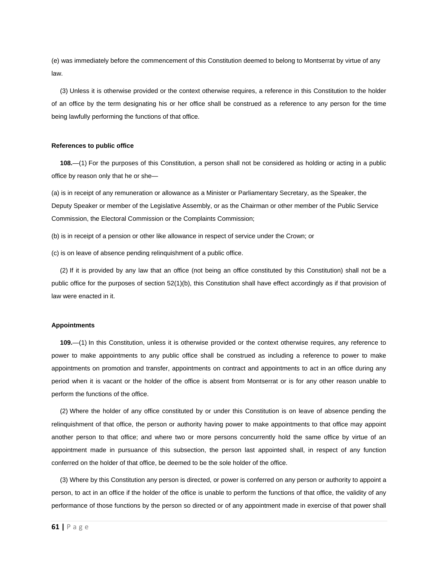(e) was immediately before the commencement of this Constitution deemed to belong to Montserrat by virtue of any law.

(3) Unless it is otherwise provided or the context otherwise requires, a reference in this Constitution to the holder of an office by the term designating his or her office shall be construed as a reference to any person for the time being lawfully performing the functions of that office.

#### **References to public office**

**108.**—(1) For the purposes of this Constitution, a person shall not be considered as holding or acting in a public office by reason only that he or she—

(a) is in receipt of any remuneration or allowance as a Minister or Parliamentary Secretary, as the Speaker, the Deputy Speaker or member of the Legislative Assembly, or as the Chairman or other member of the Public Service Commission, the Electoral Commission or the Complaints Commission;

(b) is in receipt of a pension or other like allowance in respect of service under the Crown; or

(c) is on leave of absence pending relinquishment of a public office.

(2) If it is provided by any law that an office (not being an office constituted by this Constitution) shall not be a public office for the purposes of section 52(1)(b), this Constitution shall have effect accordingly as if that provision of law were enacted in it.

#### **Appointments**

**109.**—(1) In this Constitution, unless it is otherwise provided or the context otherwise requires, any reference to power to make appointments to any public office shall be construed as including a reference to power to make appointments on promotion and transfer, appointments on contract and appointments to act in an office during any period when it is vacant or the holder of the office is absent from Montserrat or is for any other reason unable to perform the functions of the office.

(2) Where the holder of any office constituted by or under this Constitution is on leave of absence pending the relinquishment of that office, the person or authority having power to make appointments to that office may appoint another person to that office; and where two or more persons concurrently hold the same office by virtue of an appointment made in pursuance of this subsection, the person last appointed shall, in respect of any function conferred on the holder of that office, be deemed to be the sole holder of the office.

(3) Where by this Constitution any person is directed, or power is conferred on any person or authority to appoint a person, to act in an office if the holder of the office is unable to perform the functions of that office, the validity of any performance of those functions by the person so directed or of any appointment made in exercise of that power shall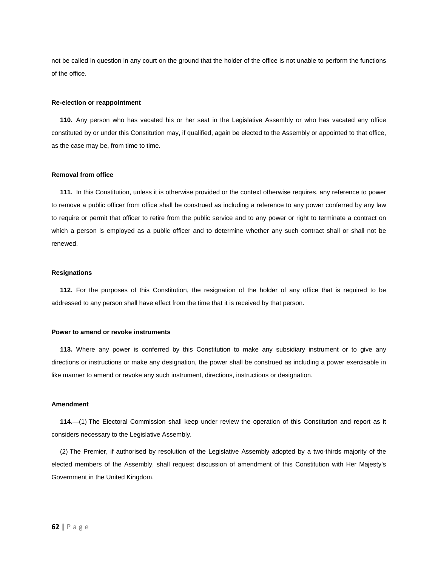not be called in question in any court on the ground that the holder of the office is not unable to perform the functions of the office.

#### **Re-election or reappointment**

**110.** Any person who has vacated his or her seat in the Legislative Assembly or who has vacated any office constituted by or under this Constitution may, if qualified, again be elected to the Assembly or appointed to that office, as the case may be, from time to time.

#### **Removal from office**

**111.** In this Constitution, unless it is otherwise provided or the context otherwise requires, any reference to power to remove a public officer from office shall be construed as including a reference to any power conferred by any law to require or permit that officer to retire from the public service and to any power or right to terminate a contract on which a person is employed as a public officer and to determine whether any such contract shall or shall not be renewed.

#### **Resignations**

**112.** For the purposes of this Constitution, the resignation of the holder of any office that is required to be addressed to any person shall have effect from the time that it is received by that person.

#### **Power to amend or revoke instruments**

**113.** Where any power is conferred by this Constitution to make any subsidiary instrument or to give any directions or instructions or make any designation, the power shall be construed as including a power exercisable in like manner to amend or revoke any such instrument, directions, instructions or designation.

#### **Amendment**

**114.**—(1) The Electoral Commission shall keep under review the operation of this Constitution and report as it considers necessary to the Legislative Assembly.

(2) The Premier, if authorised by resolution of the Legislative Assembly adopted by a two-thirds majority of the elected members of the Assembly, shall request discussion of amendment of this Constitution with Her Majesty's Government in the United Kingdom.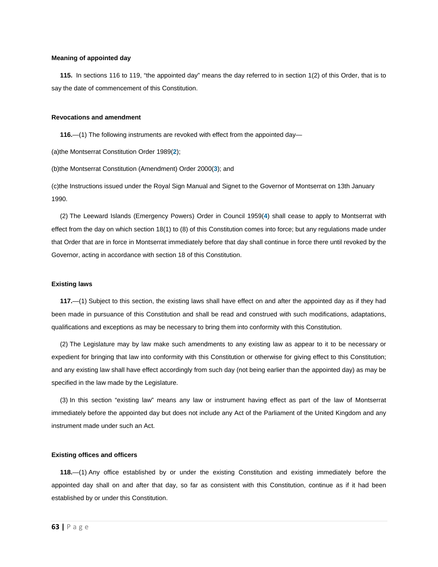#### **Meaning of appointed day**

**115.** In sections 116 to 119, "the appointed day" means the day referred to in section 1(2) of this Order, that is to say the date of commencement of this Constitution.

#### **Revocations and amendment**

**116.**—(1) The following instruments are revoked with effect from the appointed day—

(a)the Montserrat Constitution Order 1989(**2**);

(b)the Montserrat Constitution (Amendment) Order 2000(**3**); and

(c)the Instructions issued under the Royal Sign Manual and Signet to the Governor of Montserrat on 13th January 1990.

(2) The Leeward Islands (Emergency Powers) Order in Council 1959(**4**) shall cease to apply to Montserrat with effect from the day on which section 18(1) to (8) of this Constitution comes into force; but any regulations made under that Order that are in force in Montserrat immediately before that day shall continue in force there until revoked by the Governor, acting in accordance with section 18 of this Constitution.

#### **Existing laws**

**117.**—(1) Subject to this section, the existing laws shall have effect on and after the appointed day as if they had been made in pursuance of this Constitution and shall be read and construed with such modifications, adaptations, qualifications and exceptions as may be necessary to bring them into conformity with this Constitution.

(2) The Legislature may by law make such amendments to any existing law as appear to it to be necessary or expedient for bringing that law into conformity with this Constitution or otherwise for giving effect to this Constitution; and any existing law shall have effect accordingly from such day (not being earlier than the appointed day) as may be specified in the law made by the Legislature.

(3) In this section "existing law" means any law or instrument having effect as part of the law of Montserrat immediately before the appointed day but does not include any Act of the Parliament of the United Kingdom and any instrument made under such an Act.

#### **Existing offices and officers**

**118.**—(1) Any office established by or under the existing Constitution and existing immediately before the appointed day shall on and after that day, so far as consistent with this Constitution, continue as if it had been established by or under this Constitution.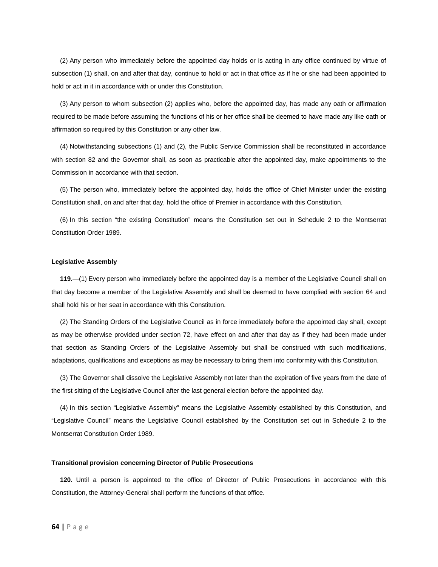(2) Any person who immediately before the appointed day holds or is acting in any office continued by virtue of subsection (1) shall, on and after that day, continue to hold or act in that office as if he or she had been appointed to hold or act in it in accordance with or under this Constitution.

(3) Any person to whom subsection (2) applies who, before the appointed day, has made any oath or affirmation required to be made before assuming the functions of his or her office shall be deemed to have made any like oath or affirmation so required by this Constitution or any other law.

(4) Notwithstanding subsections (1) and (2), the Public Service Commission shall be reconstituted in accordance with section 82 and the Governor shall, as soon as practicable after the appointed day, make appointments to the Commission in accordance with that section.

(5) The person who, immediately before the appointed day, holds the office of Chief Minister under the existing Constitution shall, on and after that day, hold the office of Premier in accordance with this Constitution.

(6) In this section "the existing Constitution" means the Constitution set out in Schedule 2 to the Montserrat Constitution Order 1989.

#### **Legislative Assembly**

**119.**—(1) Every person who immediately before the appointed day is a member of the Legislative Council shall on that day become a member of the Legislative Assembly and shall be deemed to have complied with section 64 and shall hold his or her seat in accordance with this Constitution.

(2) The Standing Orders of the Legislative Council as in force immediately before the appointed day shall, except as may be otherwise provided under section 72, have effect on and after that day as if they had been made under that section as Standing Orders of the Legislative Assembly but shall be construed with such modifications, adaptations, qualifications and exceptions as may be necessary to bring them into conformity with this Constitution.

(3) The Governor shall dissolve the Legislative Assembly not later than the expiration of five years from the date of the first sitting of the Legislative Council after the last general election before the appointed day.

(4) In this section "Legislative Assembly" means the Legislative Assembly established by this Constitution, and "Legislative Council" means the Legislative Council established by the Constitution set out in Schedule 2 to the Montserrat Constitution Order 1989.

#### **Transitional provision concerning Director of Public Prosecutions**

**120.** Until a person is appointed to the office of Director of Public Prosecutions in accordance with this Constitution, the Attorney-General shall perform the functions of that office.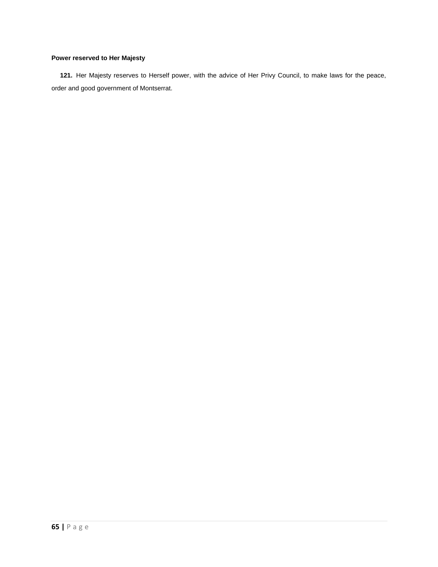## **Power reserved to Her Majesty**

**121.** Her Majesty reserves to Herself power, with the advice of Her Privy Council, to make laws for the peace, order and good government of Montserrat.